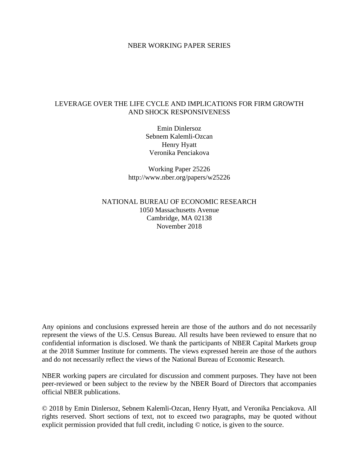### NBER WORKING PAPER SERIES

### LEVERAGE OVER THE LIFE CYCLE AND IMPLICATIONS FOR FIRM GROWTH AND SHOCK RESPONSIVENESS

Emin Dinlersoz Sebnem Kalemli-Ozcan Henry Hyatt Veronika Penciakova

Working Paper 25226 http://www.nber.org/papers/w25226

NATIONAL BUREAU OF ECONOMIC RESEARCH 1050 Massachusetts Avenue Cambridge, MA 02138 November 2018

Any opinions and conclusions expressed herein are those of the authors and do not necessarily represent the views of the U.S. Census Bureau. All results have been reviewed to ensure that no confidential information is disclosed. We thank the participants of NBER Capital Markets group at the 2018 Summer Institute for comments. The views expressed herein are those of the authors and do not necessarily reflect the views of the National Bureau of Economic Research.

NBER working papers are circulated for discussion and comment purposes. They have not been peer-reviewed or been subject to the review by the NBER Board of Directors that accompanies official NBER publications.

© 2018 by Emin Dinlersoz, Sebnem Kalemli-Ozcan, Henry Hyatt, and Veronika Penciakova. All rights reserved. Short sections of text, not to exceed two paragraphs, may be quoted without explicit permission provided that full credit, including © notice, is given to the source.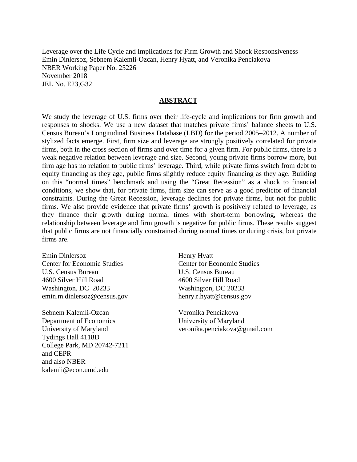Leverage over the Life Cycle and Implications for Firm Growth and Shock Responsiveness Emin Dinlersoz, Sebnem Kalemli-Ozcan, Henry Hyatt, and Veronika Penciakova NBER Working Paper No. 25226 November 2018 JEL No. E23,G32

#### **ABSTRACT**

We study the leverage of U.S. firms over their life-cycle and implications for firm growth and responses to shocks. We use a new dataset that matches private firms' balance sheets to U.S. Census Bureau's Longitudinal Business Database (LBD) for the period 2005–2012. A number of stylized facts emerge. First, firm size and leverage are strongly positively correlated for private firms, both in the cross section of firms and over time for a given firm. For public firms, there is a weak negative relation between leverage and size. Second, young private firms borrow more, but firm age has no relation to public firms' leverage. Third, while private firms switch from debt to equity financing as they age, public firms slightly reduce equity financing as they age. Building on this "normal times" benchmark and using the "Great Recession" as a shock to financial conditions, we show that, for private firms, firm size can serve as a good predictor of financial constraints. During the Great Recession, leverage declines for private firms, but not for public firms. We also provide evidence that private firms' growth is positively related to leverage, as they finance their growth during normal times with short-term borrowing, whereas the relationship between leverage and firm growth is negative for public firms. These results suggest that public firms are not financially constrained during normal times or during crisis, but private firms are.

Emin Dinlersoz Center for Economic Studies U.S. Census Bureau 4600 Silver Hill Road Washington, DC 20233 emin.m.dinlersoz@census.gov

Sebnem Kalemli-Ozcan Department of Economics University of Maryland Tydings Hall 4118D College Park, MD 20742-7211 and CEPR and also NBER kalemli@econ.umd.edu

Henry Hyatt Center for Economic Studies U.S. Census Bureau 4600 Silver Hill Road Washington, DC 20233 henry.r.hyatt@census.gov

Veronika Penciakova University of Maryland veronika.penciakova@gmail.com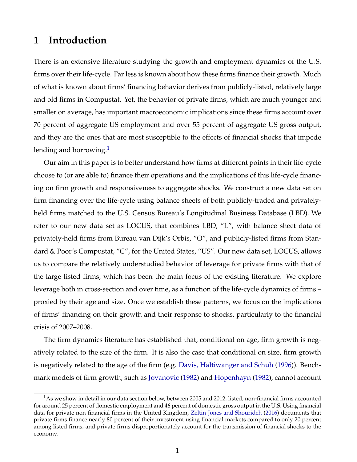# **1 Introduction**

There is an extensive literature studying the growth and employment dynamics of the U.S. firms over their life-cycle. Far less is known about how these firms finance their growth. Much of what is known about firms' financing behavior derives from publicly-listed, relatively large and old firms in Compustat. Yet, the behavior of private firms, which are much younger and smaller on average, has important macroeconomic implications since these firms account over 70 percent of aggregate US employment and over 55 percent of aggregate US gross output, and they are the ones that are most susceptible to the effects of financial shocks that impede lending and borrowing. $<sup>1</sup>$  $<sup>1</sup>$  $<sup>1</sup>$ </sup>

Our aim in this paper is to better understand how firms at different points in their life-cycle choose to (or are able to) finance their operations and the implications of this life-cycle financing on firm growth and responsiveness to aggregate shocks. We construct a new data set on firm financing over the life-cycle using balance sheets of both publicly-traded and privatelyheld firms matched to the U.S. Census Bureau's Longitudinal Business Database (LBD). We refer to our new data set as LOCUS, that combines LBD, "L", with balance sheet data of privately-held firms from Bureau van Dijk's Orbis, "O", and publicly-listed firms from Standard & Poor's Compustat, "C", for the United States, "US". Our new data set, LOCUS, allows us to compare the relatively understudied behavior of leverage for private firms with that of the large listed firms, which has been the main focus of the existing literature. We explore leverage both in cross-section and over time, as a function of the life-cycle dynamics of firms – proxied by their age and size. Once we establish these patterns, we focus on the implications of firms' financing on their growth and their response to shocks, particularly to the financial crisis of 2007–2008.

The firm dynamics literature has established that, conditional on age, firm growth is negatively related to the size of the firm. It is also the case that conditional on size, firm growth is negatively related to the age of the firm (e.g. [Davis, Haltiwanger and Schuh](#page-46-0) [\(1996\)](#page-46-0)). Benchmark models of firm growth, such as [Jovanovic](#page-47-0) [\(1982\)](#page-47-0) and [Hopenhayn](#page-47-1) [\(1982\)](#page-47-1), cannot account

<span id="page-2-0"></span> $1$ As we show in detail in our data section below, between 2005 and 2012, listed, non-financial firms accounted for around 25 percent of domestic employment and 46 percent of domestic gross output in the U.S. Using financial data for private non-financial firms in the United Kingdom, [Zeltin-Jones and Shourideh](#page-49-0) [\(2016\)](#page-49-0) documents that private firms finance nearly 80 percent of their investment using financial markets compared to only 20 percent among listed firms, and private firms disproportionately account for the transmission of financial shocks to the economy.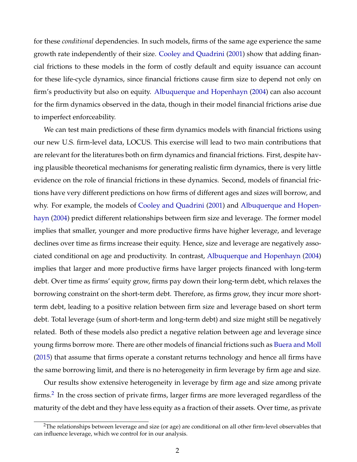for these *conditional* dependencies. In such models, firms of the same age experience the same growth rate independently of their size. [Cooley and Quadrini](#page-45-0) [\(2001\)](#page-45-0) show that adding financial frictions to these models in the form of costly default and equity issuance can account for these life-cycle dynamics, since financial frictions cause firm size to depend not only on firm's productivity but also on equity. [Albuquerque and Hopenhayn](#page-44-0) [\(2004\)](#page-44-0) can also account for the firm dynamics observed in the data, though in their model financial frictions arise due to imperfect enforceability.

We can test main predictions of these firm dynamics models with financial frictions using our new U.S. firm-level data, LOCUS. This exercise will lead to two main contributions that are relevant for the literatures both on firm dynamics and financial frictions. First, despite having plausible theoretical mechanisms for generating realistic firm dynamics, there is very little evidence on the role of financial frictions in these dynamics. Second, models of financial frictions have very different predictions on how firms of different ages and sizes will borrow, and why. For example, the models of [Cooley and Quadrini](#page-45-0) [\(2001\)](#page-45-0) and [Albuquerque and Hopen](#page-44-0)[hayn](#page-44-0) [\(2004\)](#page-44-0) predict different relationships between firm size and leverage. The former model implies that smaller, younger and more productive firms have higher leverage, and leverage declines over time as firms increase their equity. Hence, size and leverage are negatively associated conditional on age and productivity. In contrast, [Albuquerque and Hopenhayn](#page-44-0) [\(2004\)](#page-44-0) implies that larger and more productive firms have larger projects financed with long-term debt. Over time as firms' equity grow, firms pay down their long-term debt, which relaxes the borrowing constraint on the short-term debt. Therefore, as firms grow, they incur more shortterm debt, leading to a positive relation between firm size and leverage based on short term debt. Total leverage (sum of short-term and long-term debt) and size might still be negatively related. Both of these models also predict a negative relation between age and leverage since young firms borrow more. There are other models of financial frictions such as [Buera and Moll](#page-45-1) [\(2015\)](#page-45-1) that assume that firms operate a constant returns technology and hence all firms have the same borrowing limit, and there is no heterogeneity in firm leverage by firm age and size.

Our results show extensive heterogeneity in leverage by firm age and size among private firms.<sup>[2](#page-3-0)</sup> In the cross section of private firms, larger firms are more leveraged regardless of the maturity of the debt and they have less equity as a fraction of their assets. Over time, as private

<span id="page-3-0"></span><sup>&</sup>lt;sup>2</sup>The relationships between leverage and size (or age) are conditional on all other firm-level observables that can influence leverage, which we control for in our analysis.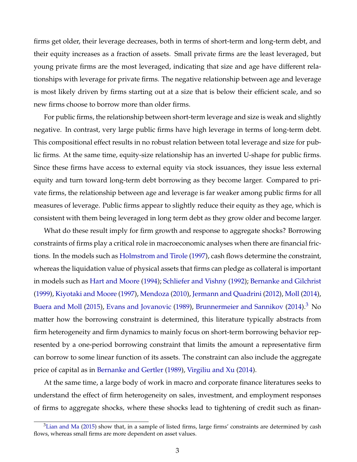firms get older, their leverage decreases, both in terms of short-term and long-term debt, and their equity increases as a fraction of assets. Small private firms are the least leveraged, but young private firms are the most leveraged, indicating that size and age have different relationships with leverage for private firms. The negative relationship between age and leverage is most likely driven by firms starting out at a size that is below their efficient scale, and so new firms choose to borrow more than older firms.

For public firms, the relationship between short-term leverage and size is weak and slightly negative. In contrast, very large public firms have high leverage in terms of long-term debt. This compositional effect results in no robust relation between total leverage and size for public firms. At the same time, equity-size relationship has an inverted U-shape for public firms. Since these firms have access to external equity via stock issuances, they issue less external equity and turn toward long-term debt borrowing as they become larger. Compared to private firms, the relationship between age and leverage is far weaker among public firms for all measures of leverage. Public firms appear to slightly reduce their equity as they age, which is consistent with them being leveraged in long term debt as they grow older and become larger.

What do these result imply for firm growth and response to aggregate shocks? Borrowing constraints of firms play a critical role in macroeconomic analyses when there are financial frictions. In the models such as [Holmstrom and Tirole](#page-47-2) [\(1997\)](#page-47-2), cash flows determine the constraint, whereas the liquidation value of physical assets that firms can pledge as collateral is important in models such as [Hart and Moore](#page-47-3) [\(1994\)](#page-47-3); [Schliefer and Vishny](#page-49-1) [\(1992\)](#page-49-1); [Bernanke and Gilchrist](#page-44-1) [\(1999\)](#page-44-1), [Kiyotaki and Moore](#page-48-0) [\(1997\)](#page-48-0), [Mendoza](#page-48-1) [\(2010\)](#page-48-1), [Jermann and Quadrini](#page-47-4) [\(2012\)](#page-47-4), [Moll](#page-48-2) [\(2014\)](#page-48-2), [Buera and Moll](#page-45-1) [\(2015\)](#page-45-1), [Evans and Jovanovic](#page-46-1) [\(1989\)](#page-46-1), [Brunnermeier and Sannikov](#page-45-2) [\(2014\)](#page-45-2).<sup>[3](#page-4-0)</sup> No matter how the borrowing constraint is determined, this literature typically abstracts from firm heterogeneity and firm dynamics to mainly focus on short-term borrowing behavior represented by a one-period borrowing constraint that limits the amount a representative firm can borrow to some linear function of its assets. The constraint can also include the aggregate price of capital as in [Bernanke and Gertler](#page-44-2) [\(1989\)](#page-44-2), [Virgiliu and Xu](#page-49-2) [\(2014\)](#page-49-2).

At the same time, a large body of work in macro and corporate finance literatures seeks to understand the effect of firm heterogeneity on sales, investment, and employment responses of firms to aggregate shocks, where these shocks lead to tightening of credit such as finan-

<span id="page-4-0"></span> $3$ [Lian and Ma](#page-48-3) [\(2015\)](#page-48-3) show that, in a sample of listed firms, large firms' constraints are determined by cash flows, whereas small firms are more dependent on asset values.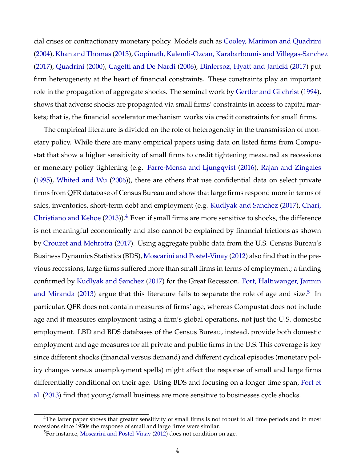cial crises or contractionary monetary policy. Models such as [Cooley, Marimon and Quadrini](#page-45-3) [\(2004\)](#page-45-3), [Khan and Thomas](#page-48-4) [\(2013\)](#page-48-4), [Gopinath, Kalemli-Ozcan, Karabarbounis and Villegas-Sanchez](#page-47-5) [\(2017\)](#page-47-5), [Quadrini](#page-49-3) [\(2000\)](#page-49-3), [Cagetti and De Nardi](#page-45-4) [\(2006\)](#page-45-4), [Dinlersoz, Hyatt and Janicki](#page-46-2) [\(2017\)](#page-46-2) put firm heterogeneity at the heart of financial constraints. These constraints play an important role in the propagation of aggregate shocks. The seminal work by [Gertler and Gilchrist](#page-46-3) [\(1994\)](#page-46-3), shows that adverse shocks are propagated via small firms' constraints in access to capital markets; that is, the financial accelerator mechanism works via credit constraints for small firms.

The empirical literature is divided on the role of heterogeneity in the transmission of monetary policy. While there are many empirical papers using data on listed firms from Compustat that show a higher sensitivity of small firms to credit tightening measured as recessions or monetary policy tightening (e.g. [Farre-Mensa and Ljungqvist](#page-46-4) [\(2016\)](#page-46-4), [Rajan and Zingales](#page-49-4) [\(1995\)](#page-49-4), [Whited and Wu](#page-49-5) [\(2006\)](#page-49-5)), there are others that use confidential data on select private firms from QFR database of Census Bureau and show that large firms respond more in terms of sales, inventories, short-term debt and employment (e.g. [Kudlyak and Sanchez](#page-48-5) [\(2017\)](#page-48-5), [Chari,](#page-45-5) [Christiano and Kehoe](#page-45-5) [\(2013\)](#page-45-5)). $<sup>4</sup>$  $<sup>4</sup>$  $<sup>4</sup>$  Even if small firms are more sensitive to shocks, the difference</sup> is not meaningful economically and also cannot be explained by financial frictions as shown by [Crouzet and Mehrotra](#page-46-5) [\(2017\)](#page-46-5). Using aggregate public data from the U.S. Census Bureau's Business Dynamics Statistics (BDS), [Moscarini and Postel-Vinay](#page-48-6) [\(2012\)](#page-48-6) also find that in the previous recessions, large firms suffered more than small firms in terms of employment; a finding confirmed by [Kudlyak and Sanchez](#page-48-5) [\(2017\)](#page-48-5) for the Great Recession. [Fort, Haltiwanger, Jarmin](#page-46-6) [and Miranda](#page-46-6) [\(2013\)](#page-46-6) argue that this literature fails to separate the role of age and size.<sup>[5](#page-5-1)</sup> In particular, QFR does not contain measures of firms' age, whereas Compustat does not include age and it measures employment using a firm's global operations, not just the U.S. domestic employment. LBD and BDS databases of the Census Bureau, instead, provide both domestic employment and age measures for all private and public firms in the U.S. This coverage is key since different shocks (financial versus demand) and different cyclical episodes (monetary policy changes versus unemployment spells) might affect the response of small and large firms differentially conditional on their age. Using BDS and focusing on a longer time span, [Fort et](#page-46-6) [al.](#page-46-6) [\(2013\)](#page-46-6) find that young/small business are more sensitive to businesses cycle shocks.

<span id="page-5-0"></span><sup>&</sup>lt;sup>4</sup>The latter paper shows that greater sensitivity of small firms is not robust to all time periods and in most recessions since 1950s the response of small and large firms were similar.

<span id="page-5-1"></span><sup>5</sup>For instance, [Moscarini and Postel-Vinay](#page-48-6) [\(2012\)](#page-48-6) does not condition on age.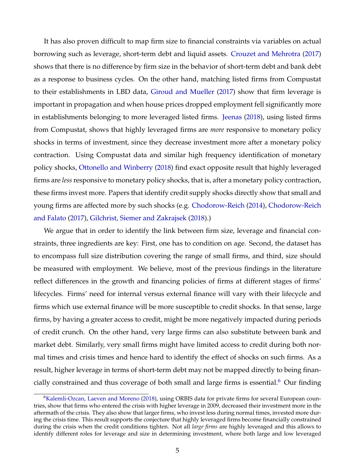It has also proven difficult to map firm size to financial constraints via variables on actual borrowing such as leverage, short-term debt and liquid assets. [Crouzet and Mehrotra](#page-46-5) [\(2017\)](#page-46-5) shows that there is no difference by firm size in the behavior of short-term debt and bank debt as a response to business cycles. On the other hand, matching listed firms from Compustat to their establishments in LBD data, [Giroud and Mueller](#page-47-6) [\(2017\)](#page-47-6) show that firm leverage is important in propagation and when house prices dropped employment fell significantly more in establishments belonging to more leveraged listed firms. [Jeenas](#page-47-7) [\(2018\)](#page-47-7), using listed firms from Compustat, shows that highly leveraged firms are *more* responsive to monetary policy shocks in terms of investment, since they decrease investment more after a monetary policy contraction. Using Compustat data and similar high frequency identification of monetary policy shocks, [Ottonello and Winberry](#page-48-7) [\(2018\)](#page-48-7) find exact opposite result that highly leveraged firms are *less* responsive to monetary policy shocks, that is, after a monetary policy contraction, these firms invest more. Papers that identify credit supply shocks directly show that small and young firms are affected more by such shocks (e.g. [Chodorow-Reich](#page-45-6) [\(2014\)](#page-45-6), [Chodorow-Reich](#page-45-7) [and Falato](#page-45-7) [\(2017\)](#page-45-7), [Gilchrist, Siemer and Zakrajsek](#page-47-8) [\(2018\)](#page-47-8).)

We argue that in order to identify the link between firm size, leverage and financial constraints, three ingredients are key: First, one has to condition on age. Second, the dataset has to encompass full size distribution covering the range of small firms, and third, size should be measured with employment. We believe, most of the previous findings in the literature reflect differences in the growth and financing policies of firms at different stages of firms' lifecycles. Firms' need for internal versus external finance will vary with their lifecycle and firms which use external finance will be more susceptible to credit shocks. In that sense, large firms, by having a greater access to credit, might be more negatively impacted during periods of credit crunch. On the other hand, very large firms can also substitute between bank and market debt. Similarly, very small firms might have limited access to credit during both normal times and crisis times and hence hard to identify the effect of shocks on such firms. As a result, higher leverage in terms of short-term debt may not be mapped directly to being finan-cially constrained and thus coverage of both small and large firms is essential.<sup>[6](#page-6-0)</sup> Our finding

<span id="page-6-0"></span><sup>6</sup>[Kalemli-Ozcan, Laeven and Moreno](#page-48-8) [\(2018\)](#page-48-8), using ORBIS data for private firms for several European countries, show that firms who entered the crisis with higher leverage in 2009, decreased their investment more in the aftermath of the crisis. They also show that larger firms, who invest less during normal times, invested more during the crisis time. This result supports the conjecture that highly leveraged firms become financially constrained during the crisis when the credit conditions tighten. Not all *large firms* are highly leveraged and this allows to identify different roles for leverage and size in determining investment, where both large and low leveraged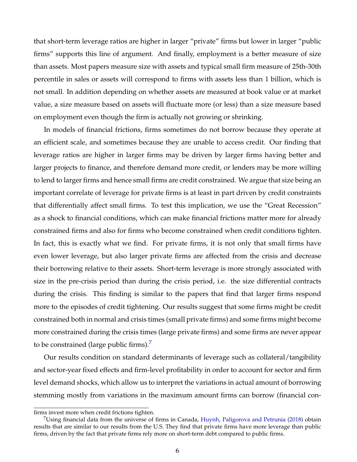that short-term leverage ratios are higher in larger "private" firms but lower in larger "public firms" supports this line of argument. And finally, employment is a better measure of size than assets. Most papers measure size with assets and typical small firm measure of 25th-30th percentile in sales or assets will correspond to firms with assets less than 1 billion, which is not small. In addition depending on whether assets are measured at book value or at market value, a size measure based on assets will fluctuate more (or less) than a size measure based on employment even though the firm is actually not growing or shrinking.

In models of financial frictions, firms sometimes do not borrow because they operate at an efficient scale, and sometimes because they are unable to access credit. Our finding that leverage ratios are higher in larger firms may be driven by larger firms having better and larger projects to finance, and therefore demand more credit, or lenders may be more willing to lend to larger firms and hence small firms are credit constrained. We argue that size being an important correlate of leverage for private firms is at least in part driven by credit constraints that differentially affect small firms. To test this implication, we use the "Great Recession" as a shock to financial conditions, which can make financial frictions matter more for already constrained firms and also for firms who become constrained when credit conditions tighten. In fact, this is exactly what we find. For private firms, it is not only that small firms have even lower leverage, but also larger private firms are affected from the crisis and decrease their borrowing relative to their assets. Short-term leverage is more strongly associated with size in the pre-crisis period than during the crisis period, i.e. the size differential contracts during the crisis. This finding is similar to the papers that find that larger firms respond more to the episodes of credit tightening. Our results suggest that some firms might be credit constrained both in normal and crisis times (small private firms) and some firms might become more constrained during the crisis times (large private firms) and some firms are never appear to be constrained (large public firms). $<sup>7</sup>$  $<sup>7</sup>$  $<sup>7</sup>$ </sup>

Our results condition on standard determinants of leverage such as collateral/tangibility and sector-year fixed effects and firm-level profitability in order to account for sector and firm level demand shocks, which allow us to interpret the variations in actual amount of borrowing stemming mostly from variations in the maximum amount firms can borrow (financial con-

firms invest more when credit frictions tighten.

<span id="page-7-0"></span><sup>7</sup>Using financial data from the universe of firms in Canada, [Huynh, Paligorova and Petrunia](#page-47-9) [\(2018\)](#page-47-9) obtain results that are similar to our results from the U.S. They find that private firms have more leverage than public firms, driven by the fact that private firms rely more on short-term debt compared to public firms.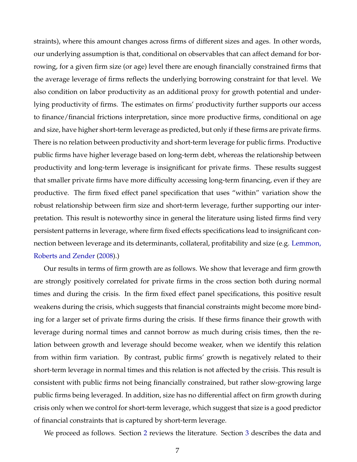straints), where this amount changes across firms of different sizes and ages. In other words, our underlying assumption is that, conditional on observables that can affect demand for borrowing, for a given firm size (or age) level there are enough financially constrained firms that the average leverage of firms reflects the underlying borrowing constraint for that level. We also condition on labor productivity as an additional proxy for growth potential and underlying productivity of firms. The estimates on firms' productivity further supports our access to finance/financial frictions interpretation, since more productive firms, conditional on age and size, have higher short-term leverage as predicted, but only if these firms are private firms. There is no relation between productivity and short-term leverage for public firms. Productive public firms have higher leverage based on long-term debt, whereas the relationship between productivity and long-term leverage is insignificant for private firms. These results suggest that smaller private firms have more difficulty accessing long-term financing, even if they are productive. The firm fixed effect panel specification that uses "within" variation show the robust relationship between firm size and short-term leverage, further supporting our interpretation. This result is noteworthy since in general the literature using listed firms find very persistent patterns in leverage, where firm fixed effects specifications lead to insignificant connection between leverage and its determinants, collateral, profitability and size (e.g. [Lemmon,](#page-48-9) [Roberts and Zender](#page-48-9) [\(2008\)](#page-48-9).)

Our results in terms of firm growth are as follows. We show that leverage and firm growth are strongly positively correlated for private firms in the cross section both during normal times and during the crisis. In the firm fixed effect panel specifications, this positive result weakens during the crisis, which suggests that financial constraints might become more binding for a larger set of private firms during the crisis. If these firms finance their growth with leverage during normal times and cannot borrow as much during crisis times, then the relation between growth and leverage should become weaker, when we identify this relation from within firm variation. By contrast, public firms' growth is negatively related to their short-term leverage in normal times and this relation is not affected by the crisis. This result is consistent with public firms not being financially constrained, but rather slow-growing large public firms being leveraged. In addition, size has no differential affect on firm growth during crisis only when we control for short-term leverage, which suggest that size is a good predictor of financial constraints that is captured by short-term leverage.

We proceed as follows. Section [2](#page-9-0) reviews the literature. Section [3](#page-13-0) describes the data and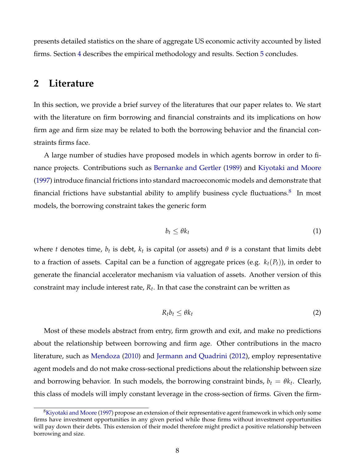presents detailed statistics on the share of aggregate US economic activity accounted by listed firms. Section [4](#page-26-0) describes the empirical methodology and results. Section [5](#page-42-0) concludes.

## <span id="page-9-0"></span>**2 Literature**

In this section, we provide a brief survey of the literatures that our paper relates to. We start with the literature on firm borrowing and financial constraints and its implications on how firm age and firm size may be related to both the borrowing behavior and the financial constraints firms face.

A large number of studies have proposed models in which agents borrow in order to finance projects. Contributions such as [Bernanke and Gertler](#page-44-2) [\(1989\)](#page-44-2) and [Kiyotaki and Moore](#page-48-0) [\(1997\)](#page-48-0) introduce financial frictions into standard macroeconomic models and demonstrate that financial frictions have substantial ability to amplify business cycle fluctuations. $^8$  $^8$  In most models, the borrowing constraint takes the generic form

<span id="page-9-2"></span>
$$
b_t \leq \theta k_t \tag{1}
$$

where  $t$  denotes time,  $b_t$  is debt,  $k_t$  is capital (or assets) and  $\theta$  is a constant that limits debt to a fraction of assets. Capital can be a function of aggregate prices (e.g. *kt*(*Pt*)), in order to generate the financial accelerator mechanism via valuation of assets. Another version of this constraint may include interest rate, *R<sup>t</sup>* . In that case the constraint can be written as

$$
R_t b_t \leq \theta k_t \tag{2}
$$

Most of these models abstract from entry, firm growth and exit, and make no predictions about the relationship between borrowing and firm age. Other contributions in the macro literature, such as [Mendoza](#page-48-1) [\(2010\)](#page-48-1) and [Jermann and Quadrini](#page-47-4) [\(2012\)](#page-47-4), employ representative agent models and do not make cross-sectional predictions about the relationship between size and borrowing behavior. In such models, the borrowing constraint binds,  $b_t = \theta k_t$ . Clearly, this class of models will imply constant leverage in the cross-section of firms. Given the firm-

<span id="page-9-1"></span><sup>8</sup>[Kiyotaki and Moore](#page-48-0) [\(1997\)](#page-48-0) propose an extension of their representative agent framework in which only some firms have investment opportunities in any given period while those firms without investment opportunities will pay down their debts. This extension of their model therefore might predict a positive relationship between borrowing and size.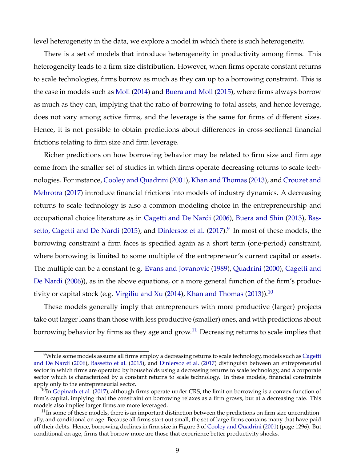level heterogeneity in the data, we explore a model in which there is such heterogeneity.

There is a set of models that introduce heterogeneity in productivity among firms. This heterogeneity leads to a firm size distribution. However, when firms operate constant returns to scale technologies, firms borrow as much as they can up to a borrowing constraint. This is the case in models such as [Moll](#page-48-2) [\(2014\)](#page-48-2) and [Buera and Moll](#page-45-1) [\(2015\)](#page-45-1), where firms always borrow as much as they can, implying that the ratio of borrowing to total assets, and hence leverage, does not vary among active firms, and the leverage is the same for firms of different sizes. Hence, it is not possible to obtain predictions about differences in cross-sectional financial frictions relating to firm size and firm leverage.

Richer predictions on how borrowing behavior may be related to firm size and firm age come from the smaller set of studies in which firms operate decreasing returns to scale technologies. For instance, [Cooley and Quadrini](#page-45-0) [\(2001\)](#page-45-0), [Khan and Thomas](#page-48-4) [\(2013\)](#page-48-4), and [Crouzet and](#page-46-5) [Mehrotra](#page-46-5) [\(2017\)](#page-46-5) introduce financial frictions into models of industry dynamics. A decreasing returns to scale technology is also a common modeling choice in the entrepreneurship and occupational choice literature as in [Cagetti and De Nardi](#page-45-4) [\(2006\)](#page-45-4), [Buera and Shin](#page-45-8) [\(2013\)](#page-45-8), [Bas](#page-44-3)[setto, Cagetti and De Nardi](#page-44-3) [\(2015\)](#page-44-3), and [Dinlersoz et al.](#page-46-2) [\(2017\)](#page-46-2). $^9$  $^9$  In most of these models, the borrowing constraint a firm faces is specified again as a short term (one-period) constraint, where borrowing is limited to some multiple of the entrepreneur's current capital or assets. The multiple can be a constant (e.g. [Evans and Jovanovic](#page-46-1) [\(1989\)](#page-46-1), [Quadrini](#page-49-3) [\(2000\)](#page-49-3), [Cagetti and](#page-45-4) [De Nardi](#page-45-4) [\(2006\)](#page-45-4)), as in the above equations, or a more general function of the firm's produc-tivity or capital stock (e.g. [Virgiliu and Xu](#page-49-2) [\(2014\)](#page-49-2), [Khan and Thomas](#page-48-4) [\(2013\)](#page-48-4)).<sup>[10](#page-10-1)</sup>

These models generally imply that entrepreneurs with more productive (larger) projects take out larger loans than those with less productive (smaller) ones, and with predictions about borrowing behavior by firms as they age and grow.<sup>[11](#page-10-2)</sup> Decreasing returns to scale implies that

<span id="page-10-0"></span><sup>&</sup>lt;sup>9</sup>While some models assume all firms employ a decreasing returns to scale technology, models such as [Cagetti](#page-45-4) [and De Nardi](#page-45-4) [\(2006\)](#page-45-4), [Bassetto et al.](#page-44-3) [\(2015\)](#page-44-3), and [Dinlersoz et al.](#page-46-2) [\(2017\)](#page-46-2) distinguish between an entrepreneurial sector in which firms are operated by households using a decreasing returns to scale technology, and a corporate sector which is characterized by a constant returns to scale technology. In these models, financial constraints apply only to the entrepreneurial sector.

<span id="page-10-1"></span> $^{10}$ In [Gopinath et al.](#page-47-5) [\(2017\)](#page-47-5), although firms operate under CRS, the limit on borrowing is a convex function of firm's capital, implying that the constraint on borrowing relaxes as a firm grows, but at a decreasing rate. This models also implies larger firms are more leveraged.

<span id="page-10-2"></span> $11$ In some of these models, there is an important distinction between the predictions on firm size unconditionally, and conditional on age. Because all firms start out small, the set of large firms contains many that have paid off their debts. Hence, borrowing declines in firm size in Figure 3 of [Cooley and Quadrini](#page-45-0) [\(2001\)](#page-45-0) (page 1296). But conditional on age, firms that borrow more are those that experience better productivity shocks.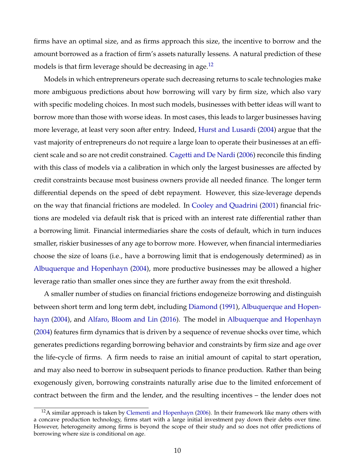firms have an optimal size, and as firms approach this size, the incentive to borrow and the amount borrowed as a fraction of firm's assets naturally lessens. A natural prediction of these models is that firm leverage should be decreasing in age.<sup>[12](#page-11-0)</sup>

Models in which entrepreneurs operate such decreasing returns to scale technologies make more ambiguous predictions about how borrowing will vary by firm size, which also vary with specific modeling choices. In most such models, businesses with better ideas will want to borrow more than those with worse ideas. In most cases, this leads to larger businesses having more leverage, at least very soon after entry. Indeed, [Hurst and Lusardi](#page-47-10) [\(2004\)](#page-47-10) argue that the vast majority of entrepreneurs do not require a large loan to operate their businesses at an efficient scale and so are not credit constrained. [Cagetti and De Nardi](#page-45-4) [\(2006\)](#page-45-4) reconcile this finding with this class of models via a calibration in which only the largest businesses are affected by credit constraints because most business owners provide all needed finance. The longer term differential depends on the speed of debt repayment. However, this size-leverage depends on the way that financial frictions are modeled. In [Cooley and Quadrini](#page-45-0) [\(2001\)](#page-45-0) financial frictions are modeled via default risk that is priced with an interest rate differential rather than a borrowing limit. Financial intermediaries share the costs of default, which in turn induces smaller, riskier businesses of any age to borrow more. However, when financial intermediaries choose the size of loans (i.e., have a borrowing limit that is endogenously determined) as in [Albuquerque and Hopenhayn](#page-44-0) [\(2004\)](#page-44-0), more productive businesses may be allowed a higher leverage ratio than smaller ones since they are further away from the exit threshold.

A smaller number of studies on financial frictions endogeneize borrowing and distinguish between short term and long term debt, including [Diamond](#page-46-7) [\(1991\)](#page-46-7), [Albuquerque and Hopen](#page-44-0)[hayn](#page-44-0) [\(2004\)](#page-44-0), and [Alfaro, Bloom and Lin](#page-44-4) [\(2016\)](#page-44-4). The model in [Albuquerque and Hopenhayn](#page-44-0) [\(2004\)](#page-44-0) features firm dynamics that is driven by a sequence of revenue shocks over time, which generates predictions regarding borrowing behavior and constraints by firm size and age over the life-cycle of firms. A firm needs to raise an initial amount of capital to start operation, and may also need to borrow in subsequent periods to finance production. Rather than being exogenously given, borrowing constraints naturally arise due to the limited enforcement of contract between the firm and the lender, and the resulting incentives – the lender does not

<span id="page-11-0"></span> $12A$  similar approach is taken by [Clementi and Hopenhayn](#page-45-9) [\(2006\)](#page-45-9). In their framework like many others with a concave production technology, firms start with a large initial investment pay down their debts over time. However, heterogeneity among firms is beyond the scope of their study and so does not offer predictions of borrowing where size is conditional on age.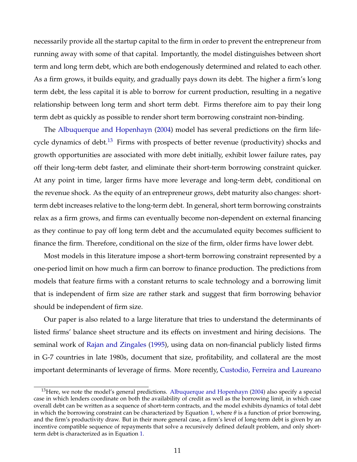necessarily provide all the startup capital to the firm in order to prevent the entrepreneur from running away with some of that capital. Importantly, the model distinguishes between short term and long term debt, which are both endogenously determined and related to each other. As a firm grows, it builds equity, and gradually pays down its debt. The higher a firm's long term debt, the less capital it is able to borrow for current production, resulting in a negative relationship between long term and short term debt. Firms therefore aim to pay their long term debt as quickly as possible to render short term borrowing constraint non-binding.

The [Albuquerque and Hopenhayn](#page-44-0) [\(2004\)](#page-44-0) model has several predictions on the firm life-cycle dynamics of debt.<sup>[13](#page-12-0)</sup> Firms with prospects of better revenue (productivity) shocks and growth opportunities are associated with more debt initially, exhibit lower failure rates, pay off their long-term debt faster, and eliminate their short-term borrowing constraint quicker. At any point in time, larger firms have more leverage and long-term debt, conditional on the revenue shock. As the equity of an entrepreneur grows, debt maturity also changes: shortterm debt increases relative to the long-term debt. In general, short term borrowing constraints relax as a firm grows, and firms can eventually become non-dependent on external financing as they continue to pay off long term debt and the accumulated equity becomes sufficient to finance the firm. Therefore, conditional on the size of the firm, older firms have lower debt.

Most models in this literature impose a short-term borrowing constraint represented by a one-period limit on how much a firm can borrow to finance production. The predictions from models that feature firms with a constant returns to scale technology and a borrowing limit that is independent of firm size are rather stark and suggest that firm borrowing behavior should be independent of firm size.

Our paper is also related to a large literature that tries to understand the determinants of listed firms' balance sheet structure and its effects on investment and hiring decisions. The seminal work of [Rajan and Zingales](#page-49-4) [\(1995\)](#page-49-4), using data on non-financial publicly listed firms in G-7 countries in late 1980s, document that size, profitability, and collateral are the most important determinants of leverage of firms. More recently, [Custodio, Ferreira and Laureano](#page-46-8)

<span id="page-12-0"></span><sup>&</sup>lt;sup>13</sup>Here, we note the model's general predictions. [Albuquerque and Hopenhayn](#page-44-0) [\(2004\)](#page-44-0) also specify a special case in which lenders coordinate on both the availability of credit as well as the borrowing limit, in which case overall debt can be written as a sequence of short-term contracts, and the model exhibits dynamics of total debt in which the borrowing constraint can be characterized by Equation [1,](#page-9-2) where *θ* is a function of prior borrowing, and the firm's productivity draw. But in their more general case, a firm's level of long-term debt is given by an incentive compatible sequence of repayments that solve a recursively defined default problem, and only shortterm debt is characterized as in Equation [1.](#page-9-2)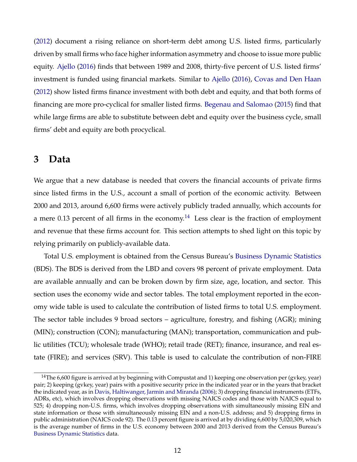[\(2012\)](#page-46-8) document a rising reliance on short-term debt among U.S. listed firms, particularly driven by small firms who face higher information asymmetry and choose to issue more public equity. [Ajello](#page-44-5) [\(2016\)](#page-44-5) finds that between 1989 and 2008, thirty-five percent of U.S. listed firms' investment is funded using financial markets. Similar to [Ajello](#page-44-5) [\(2016\)](#page-44-5), [Covas and Den Haan](#page-46-9) [\(2012\)](#page-46-9) show listed firms finance investment with both debt and equity, and that both forms of financing are more pro-cyclical for smaller listed firms. [Begenau and Salomao](#page-44-6) [\(2015\)](#page-44-6) find that while large firms are able to substitute between debt and equity over the business cycle, small firms' debt and equity are both procyclical.

## <span id="page-13-0"></span>**3 Data**

We argue that a new database is needed that covers the financial accounts of private firms since listed firms in the U.S., account a small of portion of the economic activity. Between 2000 and 2013, around 6,600 firms were actively publicly traded annually, which accounts for a mere 0.13 percent of all firms in the economy.<sup>[14](#page-13-1)</sup> Less clear is the fraction of employment and revenue that these firms account for. This section attempts to shed light on this topic by relying primarily on publicly-available data.

Total U.S. employment is obtained from the Census Bureau's [Business Dynamic Statistics](https://www.census.gov/ces/dataproducts/bds/data_firm.html) (BDS). The BDS is derived from the LBD and covers 98 percent of private employment. Data are available annually and can be broken down by firm size, age, location, and sector. This section uses the economy wide and sector tables. The total employment reported in the economy wide table is used to calculate the contribution of listed firms to total U.S. employment. The sector table includes 9 broad sectors – agriculture, forestry, and fishing (AGR); mining (MIN); construction (CON); manufacturing (MAN); transportation, communication and public utilities (TCU); wholesale trade (WHO); retail trade (RET); finance, insurance, and real estate (FIRE); and services (SRV). This table is used to calculate the contribution of non-FIRE

<span id="page-13-1"></span><sup>&</sup>lt;sup>14</sup>The 6,600 figure is arrived at by beginning with Compustat and 1) keeping one observation per (gvkey, year) pair; 2) keeping (gvkey, year) pairs with a positive security price in the indicated year or in the years that bracket the indicated year, as in [Davis, Haltiwanger, Jarmin and Miranda](#page-46-10) [\(2006\)](#page-46-10); 3) dropping financial instruments (ETFs, ADRs, etc), which involves dropping observations with missing NAICS codes and those with NAICS equal to 525; 4) dropping non-U.S. firms, which involves dropping observations with simultaneously missing EIN and state information or those with simultaneously missing EIN and a non-U.S. address; and 5) dropping firms in public administration (NAICS code 92). The 0.13 percent figure is arrived at by dividing 6,600 by 5,020,309, which is the average number of firms in the U.S. economy between 2000 and 2013 derived from the Census Bureau's [Business Dynamic Statistics](https://www.census.gov/ces/dataproducts/bds/data_firm.html) data.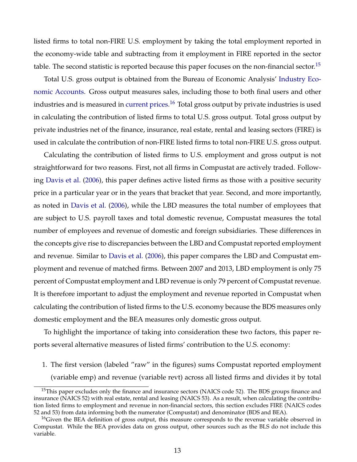listed firms to total non-FIRE U.S. employment by taking the total employment reported in the economy-wide table and subtracting from it employment in FIRE reported in the sector table. The second statistic is reported because this paper focuses on the non-financial sector.<sup>[15](#page-14-0)</sup>

Total U.S. gross output is obtained from the Bureau of Economic Analysis' [Industry Eco](https://www.bea.gov/data/industries/gross-output-by-industry)[nomic Accounts.](https://www.bea.gov/data/industries/gross-output-by-industry) Gross output measures sales, including those to both final users and other industries and is measured in [current prices.](https://apps.bea.gov/industry/guide_to_the_interactive_gdp_by_industry_accounts_tables.htm) $^{16}$  $^{16}$  $^{16}$  Total gross output by private industries is used in calculating the contribution of listed firms to total U.S. gross output. Total gross output by private industries net of the finance, insurance, real estate, rental and leasing sectors (FIRE) is used in calculate the contribution of non-FIRE listed firms to total non-FIRE U.S. gross output.

Calculating the contribution of listed firms to U.S. employment and gross output is not straightforward for two reasons. First, not all firms in Compustat are actively traded. Following [Davis et al.](#page-46-10) [\(2006\)](#page-46-10), this paper defines active listed firms as those with a positive security price in a particular year or in the years that bracket that year. Second, and more importantly, as noted in [Davis et al.](#page-46-10) [\(2006\)](#page-46-10), while the LBD measures the total number of employees that are subject to U.S. payroll taxes and total domestic revenue, Compustat measures the total number of employees and revenue of domestic and foreign subsidiaries. These differences in the concepts give rise to discrepancies between the LBD and Compustat reported employment and revenue. Similar to [Davis et al.](#page-46-10) [\(2006\)](#page-46-10), this paper compares the LBD and Compustat employment and revenue of matched firms. Between 2007 and 2013, LBD employment is only 75 percent of Compustat employment and LBD revenue is only 79 percent of Compustat revenue. It is therefore important to adjust the employment and revenue reported in Compustat when calculating the contribution of listed firms to the U.S. economy because the BDS measures only domestic employment and the BEA measures only domestic gross output.

To highlight the importance of taking into consideration these two factors, this paper reports several alternative measures of listed firms' contribution to the U.S. economy:

1. The first version (labeled "raw" in the figures) sums Compustat reported employment (variable emp) and revenue (variable revt) across all listed firms and divides it by total

<span id="page-14-0"></span><sup>&</sup>lt;sup>15</sup>This paper excludes only the finance and insurance sectors (NAICS code 52). The BDS groups finance and insurance (NAICS 52) with real estate, rental and leasing (NAICS 53). As a result, when calculating the contribution listed firms to employment and revenue in non-financial sectors, this section excludes FIRE (NAICS codes 52 and 53) from data informing both the numerator (Compustat) and denominator (BDS and BEA).

<span id="page-14-1"></span><sup>&</sup>lt;sup>16</sup>Given the BEA definition of gross output, this measure corresponds to the revenue variable observed in Compustat. While the BEA provides data on gross output, other sources such as the BLS do not include this variable.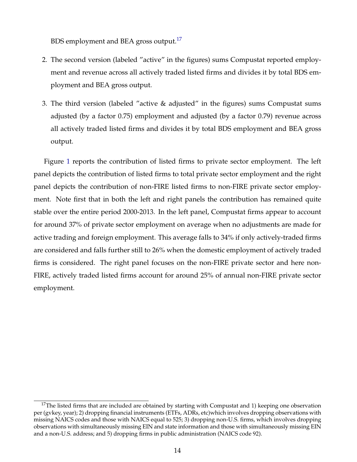BDS employment and BEA gross output.<sup>[17](#page-15-0)</sup>

- 2. The second version (labeled "active" in the figures) sums Compustat reported employment and revenue across all actively traded listed firms and divides it by total BDS employment and BEA gross output.
- 3. The third version (labeled "active & adjusted" in the figures) sums Compustat sums adjusted (by a factor 0.75) employment and adjusted (by a factor 0.79) revenue across all actively traded listed firms and divides it by total BDS employment and BEA gross output.

Figure [1](#page-16-0) reports the contribution of listed firms to private sector employment. The left panel depicts the contribution of listed firms to total private sector employment and the right panel depicts the contribution of non-FIRE listed firms to non-FIRE private sector employment. Note first that in both the left and right panels the contribution has remained quite stable over the entire period 2000-2013. In the left panel, Compustat firms appear to account for around 37% of private sector employment on average when no adjustments are made for active trading and foreign employment. This average falls to 34% if only actively-traded firms are considered and falls further still to 26% when the domestic employment of actively traded firms is considered. The right panel focuses on the non-FIRE private sector and here non-FIRE, actively traded listed firms account for around 25% of annual non-FIRE private sector employment.

<span id="page-15-0"></span> $17$ The listed firms that are included are obtained by starting with Compustat and 1) keeping one observation per (gvkey, year); 2) dropping financial instruments (ETFs, ADRs, etc)which involves dropping observations with missing NAICS codes and those with NAICS equal to 525; 3) dropping non-U.S. firms, which involves dropping observations with simultaneously missing EIN and state information and those with simultaneously missing EIN and a non-U.S. address; and 5) dropping firms in public administration (NAICS code 92).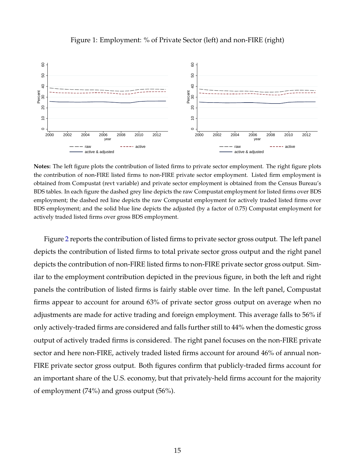<span id="page-16-0"></span>

### Figure 1: Employment: % of Private Sector (left) and non-FIRE (right)

**Notes:** The left figure plots the contribution of listed firms to private sector employment. The right figure plots the contribution of non-FIRE listed firms to non-FIRE private sector employment. Listed firm employment is obtained from Compustat (revt variable) and private sector employment is obtained from the Census Bureau's BDS tables. In each figure the dashed grey line depicts the raw Compustat employment for listed firms over BDS employment; the dashed red line depicts the raw Compustat employment for actively traded listed firms over BDS employment; and the solid blue line depicts the adjusted (by a factor of 0.75) Compustat employment for actively traded listed firms over gross BDS employment.

Figure [2](#page-17-0) reports the contribution of listed firms to private sector gross output. The left panel depicts the contribution of listed firms to total private sector gross output and the right panel depicts the contribution of non-FIRE listed firms to non-FIRE private sector gross output. Similar to the employment contribution depicted in the previous figure, in both the left and right panels the contribution of listed firms is fairly stable over time. In the left panel, Compustat firms appear to account for around 63% of private sector gross output on average when no adjustments are made for active trading and foreign employment. This average falls to 56% if only actively-traded firms are considered and falls further still to 44% when the domestic gross output of actively traded firms is considered. The right panel focuses on the non-FIRE private sector and here non-FIRE, actively traded listed firms account for around 46% of annual non-FIRE private sector gross output. Both figures confirm that publicly-traded firms account for an important share of the U.S. economy, but that privately-held firms account for the majority of employment (74%) and gross output (56%).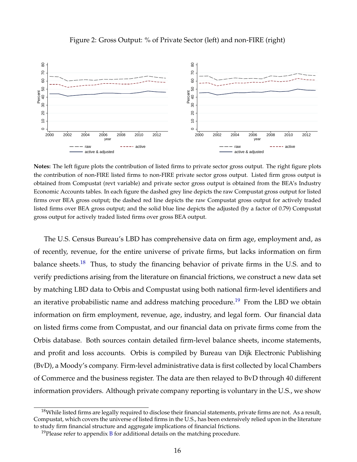<span id="page-17-0"></span>

### Figure 2: Gross Output: % of Private Sector (left) and non-FIRE (right)

**Notes:** The left figure plots the contribution of listed firms to private sector gross output. The right figure plots the contribution of non-FIRE listed firms to non-FIRE private sector gross output. Listed firm gross output is obtained from Compustat (revt variable) and private sector gross output is obtained from the BEA's Industry Economic Accounts tables. In each figure the dashed grey line depicts the raw Compustat gross output for listed firms over BEA gross output; the dashed red line depicts the raw Compustat gross output for actively traded listed firms over BEA gross output; and the solid blue line depicts the adjusted (by a factor of 0.79) Compustat gross output for actively traded listed firms over gross BEA output.

The U.S. Census Bureau's LBD has comprehensive data on firm age, employment and, as of recently, revenue, for the entire universe of private firms, but lacks information on firm balance sheets.<sup>[18](#page-17-1)</sup> Thus, to study the financing behavior of private firms in the U.S. and to verify predictions arising from the literature on financial frictions, we construct a new data set by matching LBD data to Orbis and Compustat using both national firm-level identifiers and an iterative probabilistic name and address matching procedure.<sup>[19](#page-17-2)</sup> From the LBD we obtain information on firm employment, revenue, age, industry, and legal form. Our financial data on listed firms come from Compustat, and our financial data on private firms come from the Orbis database. Both sources contain detailed firm-level balance sheets, income statements, and profit and loss accounts. Orbis is compiled by Bureau van Dijk Electronic Publishing (BvD), a Moody's company. Firm-level administrative data is first collected by local Chambers of Commerce and the business register. The data are then relayed to BvD through 40 different information providers. Although private company reporting is voluntary in the U.S., we show

<span id="page-17-1"></span> $^{18}$ While listed firms are legally required to disclose their financial statements, private firms are not. As a result, Compustat, which covers the universe of listed firms in the U.S., has been extensively relied upon in the literature to study firm financial structure and aggregate implications of financial frictions.

<span id="page-17-2"></span> $19$ Please refer to appendix [B](#page-51-0) for additional details on the matching procedure.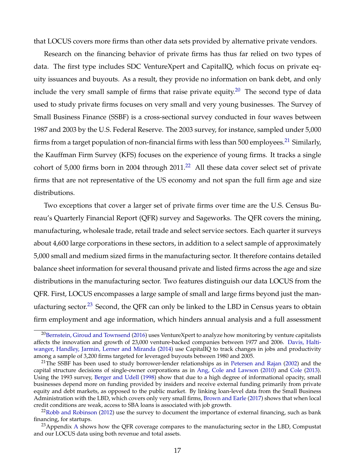that LOCUS covers more firms than other data sets provided by alternative private vendors.

Research on the financing behavior of private firms has thus far relied on two types of data. The first type includes SDC VentureXpert and CapitalIQ, which focus on private equity issuances and buyouts. As a result, they provide no information on bank debt, and only include the very small sample of firms that raise private equity.<sup>[20](#page-18-0)</sup> The second type of data used to study private firms focuses on very small and very young businesses. The Survey of Small Business Finance (SSBF) is a cross-sectional survey conducted in four waves between 1987 and 2003 by the U.S. Federal Reserve. The 2003 survey, for instance, sampled under 5,000 firms from a target population of non-financial firms with less than 500 employees.<sup>[21](#page-18-1)</sup> Similarly, the Kauffman Firm Survey (KFS) focuses on the experience of young firms. It tracks a single cohort of  $5,000$  firms born in 2004 through 2011.<sup>[22](#page-18-2)</sup> All these data cover select set of private firms that are not representative of the US economy and not span the full firm age and size distributions.

Two exceptions that cover a larger set of private firms over time are the U.S. Census Bureau's Quarterly Financial Report (QFR) survey and Sageworks. The QFR covers the mining, manufacturing, wholesale trade, retail trade and select service sectors. Each quarter it surveys about 4,600 large corporations in these sectors, in addition to a select sample of approximately 5,000 small and medium sized firms in the manufacturing sector. It therefore contains detailed balance sheet information for several thousand private and listed firms across the age and size distributions in the manufacturing sector. Two features distinguish our data LOCUS from the QFR. First, LOCUS encompasses a large sample of small and large firms beyond just the man-ufacturing sector.<sup>[23](#page-18-3)</sup> Second, the QFR can only be linked to the LBD in Census years to obtain firm employment and age information, which hinders annual analysis and a full assessment

<span id="page-18-0"></span><sup>&</sup>lt;sup>20</sup>[Bernstein, Giroud and Townsend](#page-44-7) [\(2016\)](#page-44-7) uses VentureXpert to analyze how monitoring by venture capitalists affects the innovation and growth of 23,000 venture-backed companies between 1977 and 2006. [Davis, Halti](#page-46-11)[wanger, Handley, Jarmin, Lerner and Miranda](#page-46-11) [\(2014\)](#page-46-11) use CapitalIQ to track changes in jobs and productivity among a sample of 3,200 firms targeted for leveraged buyouts between 1980 and 2005.

<span id="page-18-1"></span> $21$ The SSBF has been used to study borrower-lender relationships as in [Petersen and Rajan](#page-49-6) [\(2002\)](#page-49-6) and the capital structure decisions of single-owner corporations as in [Ang, Cole and Lawson](#page-44-8) [\(2010\)](#page-44-8) and [Cole](#page-45-10) [\(2013\)](#page-45-10). Using the 1993 survey, [Berger and Udell](#page-44-9) [\(1998\)](#page-44-9) show that due to a high degree of informational opacity, small businesses depend more on funding provided by insiders and receive external funding primarily from private equity and debt markets, as opposed to the public market. By linking loan-level data from the Small Business Administration with the LBD, which covers only very small firms, [Brown and Earle](#page-45-11) [\(2017\)](#page-45-11) shows that when local credit conditions are weak, access to SBA loans is associated with job growth.

<span id="page-18-2"></span> $22$ [Robb and Robinson](#page-49-7) [\(2012\)](#page-49-7) use the survey to document the importance of external financing, such as bank financing, for startups.

<span id="page-18-3"></span><sup>&</sup>lt;sup>23</sup> [A](#page-50-0)ppendix A shows how the QFR coverage compares to the manufacturing sector in the LBD, Compustat and our LOCUS data using both revenue and total assets.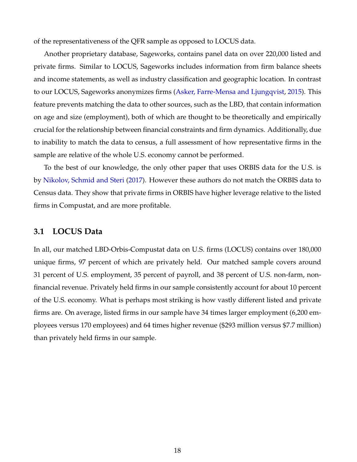of the representativeness of the QFR sample as opposed to LOCUS data.

Another proprietary database, Sageworks, contains panel data on over 220,000 listed and private firms. Similar to LOCUS, Sageworks includes information from firm balance sheets and income statements, as well as industry classification and geographic location. In contrast to our LOCUS, Sageworks anonymizes firms [\(Asker, Farre-Mensa and Ljungqvist,](#page-44-10) [2015\)](#page-44-10). This feature prevents matching the data to other sources, such as the LBD, that contain information on age and size (employment), both of which are thought to be theoretically and empirically crucial for the relationship between financial constraints and firm dynamics. Additionally, due to inability to match the data to census, a full assessment of how representative firms in the sample are relative of the whole U.S. economy cannot be performed.

To the best of our knowledge, the only other paper that uses ORBIS data for the U.S. is by [Nikolov, Schmid and Steri](#page-48-10) [\(2017\)](#page-48-10). However these authors do not match the ORBIS data to Census data. They show that private firms in ORBIS have higher leverage relative to the listed firms in Compustat, and are more profitable.

### **3.1 LOCUS Data**

In all, our matched LBD-Orbis-Compustat data on U.S. firms (LOCUS) contains over 180,000 unique firms, 97 percent of which are privately held. Our matched sample covers around 31 percent of U.S. employment, 35 percent of payroll, and 38 percent of U.S. non-farm, nonfinancial revenue. Privately held firms in our sample consistently account for about 10 percent of the U.S. economy. What is perhaps most striking is how vastly different listed and private firms are. On average, listed firms in our sample have 34 times larger employment (6,200 employees versus 170 employees) and 64 times higher revenue (\$293 million versus \$7.7 million) than privately held firms in our sample.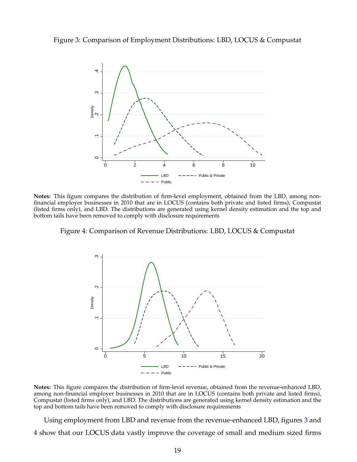<span id="page-20-0"></span>



**Notes:** This figure compares the distribution of firm-level employment, obtained from the LBD, among nonfinancial employer businesses in 2010 that are in LOCUS (contains both private and listed firms), Compustat (listed firms only), and LBD. The distributions are generated using kernel density estimation and the top and bottom tails have been removed to comply with disclosure requirements

<span id="page-20-1"></span>Figure 4: Comparison of Revenue Distributions: LBD, LOCUS & Compustat



**Notes:** This figure compares the distribution of firm-level revenue, obtained from the revenue-enhanced LBD, among non-financial employer businesses in 2010 that are in LOCUS (contains both private and listed firms), Compustat (listed firms only), and LBD. The distributions are generated using kernel density estimation and the top and bottom tails have been removed to comply with disclosure requirements

Using employment from LBD and revenue from the revenue-enhanced LBD, figures [3](#page-20-0) and [4](#page-20-1) show that our LOCUS data vastly improve the coverage of small and medium sized firms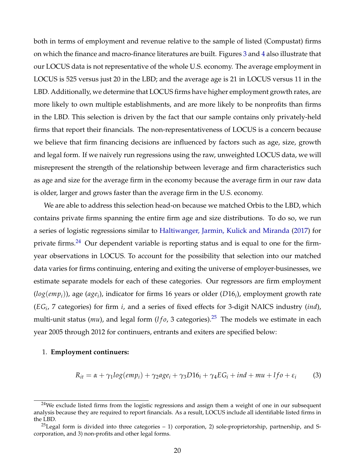both in terms of employment and revenue relative to the sample of listed (Compustat) firms on which the finance and macro-finance literatures are built. Figures [3](#page-20-0) and [4](#page-20-1) also illustrate that our LOCUS data is not representative of the whole U.S. economy. The average employment in LOCUS is 525 versus just 20 in the LBD; and the average age is 21 in LOCUS versus 11 in the LBD. Additionally, we determine that LOCUS firms have higher employment growth rates, are more likely to own multiple establishments, and are more likely to be nonprofits than firms in the LBD. This selection is driven by the fact that our sample contains only privately-held firms that report their financials. The non-representativeness of LOCUS is a concern because we believe that firm financing decisions are influenced by factors such as age, size, growth and legal form. If we naively run regressions using the raw, unweighted LOCUS data, we will misrepresent the strength of the relationship between leverage and firm characteristics such as age and size for the average firm in the economy because the average firm in our raw data is older, larger and grows faster than the average firm in the U.S. economy.

We are able to address this selection head-on because we matched Orbis to the LBD, which contains private firms spanning the entire firm age and size distributions. To do so, we run a series of logistic regressions similar to [Haltiwanger, Jarmin, Kulick and Miranda](#page-47-11) [\(2017\)](#page-47-11) for private firms.<sup>[24](#page-21-0)</sup> Our dependent variable is reporting status and is equal to one for the firmyear observations in LOCUS. To account for the possibility that selection into our matched data varies for firms continuing, entering and exiting the universe of employer-businesses, we estimate separate models for each of these categories. Our regressors are firm employment (*log*(*empi*)), age (*age<sup>i</sup>* ), indicator for firms 16 years or older (*D*16*<sup>i</sup>* ), employment growth rate (*EG<sup>i</sup>* , 7 categories) for firm *i*, and a series of fixed effects for 3-digit NAICS industry (*ind*), multi-unit status (*mu*), and legal form (*l* f<sub>0</sub>, 3 categories).<sup>[25](#page-21-1)</sup> The models we estimate in each year 2005 through 2012 for continuers, entrants and exiters are specified below:

#### 1. **Employment continuers:**

$$
R_{it} = \alpha + \gamma_1 log(em_i) + \gamma_2 age_i + \gamma_3 D16_i + \gamma_4 EG_i + ind + mu + lfo + \varepsilon_i \tag{3}
$$

<span id="page-21-0"></span><sup>&</sup>lt;sup>24</sup>We exclude listed firms from the logistic regressions and assign them a weight of one in our subsequent analysis because they are required to report financials. As a result, LOCUS include all identifiable listed firms in the LBD.

<span id="page-21-1"></span><sup>&</sup>lt;sup>25</sup>Legal form is divided into three categories  $-1$ ) corporation, 2) sole-proprietorship, partnership, and Scorporation, and 3) non-profits and other legal forms.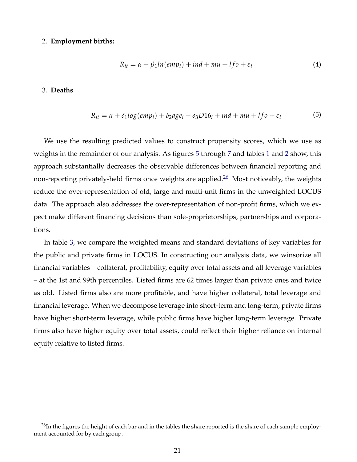#### 2. **Employment births:**

$$
R_{it} = \alpha + \beta_1 ln(em_i) + ind + mu + lfo + \varepsilon_i \tag{4}
$$

#### 3. **Deaths**

$$
R_{it} = \alpha + \delta_1 log(emp_i) + \delta_2 age_i + \delta_3 D16_i + ind + mu + lfo + \varepsilon_i
$$
\n(5)

We use the resulting predicted values to construct propensity scores, which we use as weights in the remainder of our analysis. As figures [5](#page-23-0) through [7](#page-24-0) and tables [1](#page-24-1) and [2](#page-25-0) show, this approach substantially decreases the observable differences between financial reporting and non-reporting privately-held firms once weights are applied.<sup>[26](#page-22-0)</sup> Most noticeably, the weights reduce the over-representation of old, large and multi-unit firms in the unweighted LOCUS data. The approach also addresses the over-representation of non-profit firms, which we expect make different financing decisions than sole-proprietorships, partnerships and corporations.

In table [3,](#page-25-1) we compare the weighted means and standard deviations of key variables for the public and private firms in LOCUS. In constructing our analysis data, we winsorize all financial variables – collateral, profitability, equity over total assets and all leverage variables – at the 1st and 99th percentiles. Listed firms are 62 times larger than private ones and twice as old. Listed firms also are more profitable, and have higher collateral, total leverage and financial leverage. When we decompose leverage into short-term and long-term, private firms have higher short-term leverage, while public firms have higher long-term leverage. Private firms also have higher equity over total assets, could reflect their higher reliance on internal equity relative to listed firms.

<span id="page-22-0"></span> $^{26}$ In the figures the height of each bar and in the tables the share reported is the share of each sample employment accounted for by each group.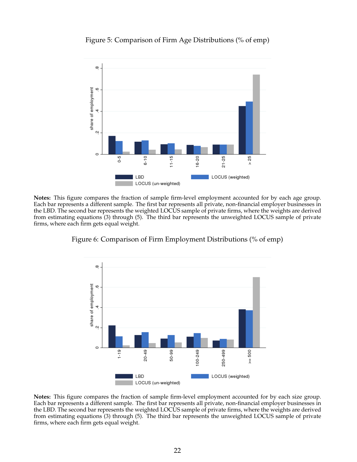## <span id="page-23-0"></span>Figure 5: Comparison of Firm Age Distributions (% of emp)



**Notes:** This figure compares the fraction of sample firm-level employment accounted for by each age group. Each bar represents a different sample. The first bar represents all private, non-financial employer businesses in the LBD. The second bar represents the weighted LOCUS sample of private firms, where the weights are derived from estimating equations (3) through (5). The third bar represents the unweighted LOCUS sample of private firms, where each firm gets equal weight.



Figure 6: Comparison of Firm Employment Distributions (% of emp)

**Notes:** This figure compares the fraction of sample firm-level employment accounted for by each size group. Each bar represents a different sample. The first bar represents all private, non-financial employer businesses in the LBD. The second bar represents the weighted LOCUS sample of private firms, where the weights are derived from estimating equations (3) through (5). The third bar represents the unweighted LOCUS sample of private firms, where each firm gets equal weight.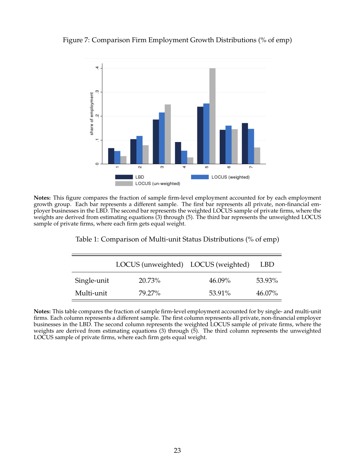## <span id="page-24-0"></span>Figure 7: Comparison Firm Employment Growth Distributions (% of emp)



<span id="page-24-1"></span>**Notes:** This figure compares the fraction of sample firm-level employment accounted for by each employment growth group. Each bar represents a different sample. The first bar represents all private, non-financial employer businesses in the LBD. The second bar represents the weighted LOCUS sample of private firms, where the weights are derived from estimating equations (3) through (5). The third bar represents the unweighted LOCUS sample of private firms, where each firm gets equal weight.

Table 1: Comparison of Multi-unit Status Distributions (% of emp)

|             | LOCUS (unweighted) LOCUS (weighted) |           | LBD    |
|-------------|-------------------------------------|-----------|--------|
| Single-unit | 20.73%                              | $46.09\%$ | 53.93% |
| Multi-unit  | 79.27%                              | 53.91%    | 46.07% |

**Notes:** This table compares the fraction of sample firm-level employment accounted for by single- and multi-unit firms. Each column represents a different sample. The first column represents all private, non-financial employer businesses in the LBD. The second column represents the weighted LOCUS sample of private firms, where the weights are derived from estimating equations (3) through (5). The third column represents the unweighted LOCUS sample of private firms, where each firm gets equal weight.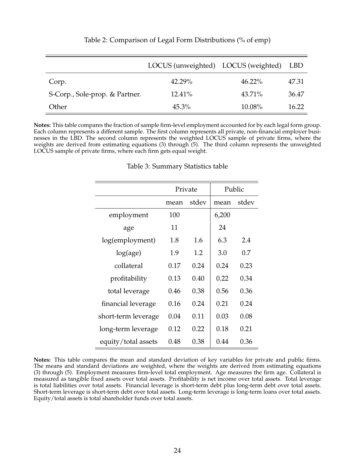<span id="page-25-0"></span>

|                                | LOCUS (unweighted) LOCUS (weighted) |           | <b>LBD</b> |
|--------------------------------|-------------------------------------|-----------|------------|
| Corp.                          | 42.29%                              | $46.22\%$ | 47.31      |
| S-Corp., Sole-prop. & Partner. | 12.41%                              | 43.71%    | 36.47      |
| Other                          | $45.3\%$                            | 10.08%    | 16.22      |

### Table 2: Comparison of Legal Form Distributions (% of emp)

<span id="page-25-1"></span>**Notes:** This table compares the fraction of sample firm-level employment accounted for by each legal form group. Each column represents a different sample. The first column represents all private, non-financial employer businesses in the LBD. The second column represents the weighted LOCUS sample of private firms, where the weights are derived from estimating equations (3) through (5). The third column represents the unweighted LOCUS sample of private firms, where each firm gets equal weight.

|                     | Private       |      | Public |       |  |
|---------------------|---------------|------|--------|-------|--|
|                     | stdev<br>mean |      | mean   | stdev |  |
| employment          | 100           |      | 6,200  |       |  |
| age                 | 11            |      | 24     |       |  |
| log(employment)     | 1.8           | 1.6  | 6.3    | 2.4   |  |
| log(age)            | 1.9           | 1.2  | 3.0    | 0.7   |  |
| collateral          | 0.17          | 0.24 | 0.24   | 0.23  |  |
| profitability       | 0.13          | 0.40 | 0.22   | 0.34  |  |
| total leverage      | 0.46          | 0.38 | 0.56   | 0.36  |  |
| financial leverage  | 0.16          | 0.24 | 0.21   | 0.24  |  |
| short-term leverage | 0.04          | 0.11 | 0.03   | 0.08  |  |
| long-term leverage  | 0.12          | 0.22 | 0.18   | 0.21  |  |
| equity/total assets | 0.48          | 0.38 | 0.44   | 0.36  |  |

#### Table 3: Summary Statistics table

**Notes:** This table compares the mean and standard deviation of key variables for private and public firms. The means and standard deviations are weighted, where the weights are derived from estimating equations (3) through (5). Employment measures firm-level total employment. Age measures the firm age. Collateral is measured as tangible fixed assets over total assets. Profitability is net income over total assets. Total leverage is total liabilities over total assets. Financial leverage is short-term debt plus long-term debt over total assets. Short-term leverage is short-term debt over total assets. Long-term leverage is long-term loans over total assets. Equity/total assets is total shareholder funds over total assets.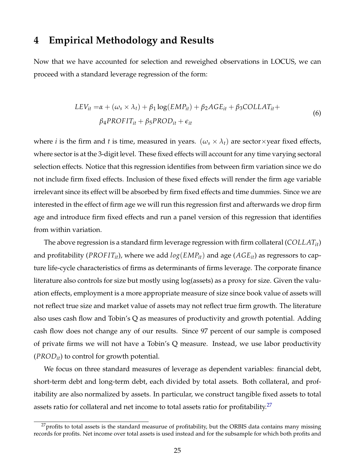## <span id="page-26-0"></span>**4 Empirical Methodology and Results**

Now that we have accounted for selection and reweighed observations in LOCUS, we can proceed with a standard leverage regression of the form:

$$
LEV_{it} = \alpha + (\omega_s \times \lambda_t) + \beta_1 \log(EMP_{it}) + \beta_2 AGE_{it} + \beta_3 COLLAT_{it} +
$$
  
\n
$$
\beta_4 PROFIT_{it} + \beta_5 PROD_{it} + \epsilon_{it}
$$
\n(6)

where *i* is the firm and *t* is time, measured in years. ( $\omega_s \times \lambda_t$ ) are sector×year fixed effects, where sector is at the 3-digit level. These fixed effects will account for any time varying sectoral selection effects. Notice that this regression identifies from between firm variation since we do not include firm fixed effects. Inclusion of these fixed effects will render the firm age variable irrelevant since its effect will be absorbed by firm fixed effects and time dummies. Since we are interested in the effect of firm age we will run this regression first and afterwards we drop firm age and introduce firm fixed effects and run a panel version of this regression that identifies from within variation.

The above regression is a standard firm leverage regression with firm collateral (*COLLATit*) and profitability (*PROF ITit*), where we add *log*(*EMPit*) and age (*AGEit*) as regressors to capture life-cycle characteristics of firms as determinants of firms leverage. The corporate finance literature also controls for size but mostly using log(assets) as a proxy for size. Given the valuation effects, employment is a more appropriate measure of size since book value of assets will not reflect true size and market value of assets may not reflect true firm growth. The literature also uses cash flow and Tobin's Q as measures of productivity and growth potential. Adding cash flow does not change any of our results. Since 97 percent of our sample is composed of private firms we will not have a Tobin's Q measure. Instead, we use labor productivity (*PRODit*) to control for growth potential.

We focus on three standard measures of leverage as dependent variables: financial debt, short-term debt and long-term debt, each divided by total assets. Both collateral, and profitability are also normalized by assets. In particular, we construct tangible fixed assets to total assets ratio for collateral and net income to total assets ratio for profitability.<sup>[27](#page-26-1)</sup>

<span id="page-26-1"></span> $^{27}$ profits to total assets is the standard measurue of profitability, but the ORBIS data contains many missing records for profits. Net income over total assets is used instead and for the subsample for which both profits and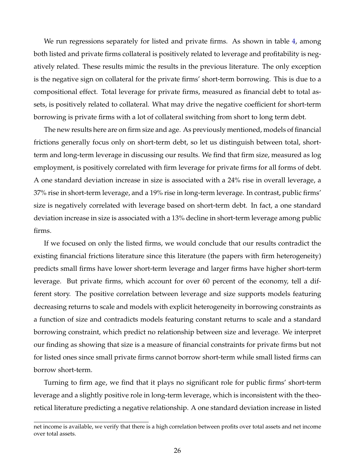We run regressions separately for listed and private firms. As shown in table [4,](#page-28-0) among both listed and private firms collateral is positively related to leverage and profitability is negatively related. These results mimic the results in the previous literature. The only exception is the negative sign on collateral for the private firms' short-term borrowing. This is due to a compositional effect. Total leverage for private firms, measured as financial debt to total assets, is positively related to collateral. What may drive the negative coefficient for short-term borrowing is private firms with a lot of collateral switching from short to long term debt.

The new results here are on firm size and age. As previously mentioned, models of financial frictions generally focus only on short-term debt, so let us distinguish between total, shortterm and long-term leverage in discussing our results. We find that firm size, measured as log employment, is positively correlated with firm leverage for private firms for all forms of debt. A one standard deviation increase in size is associated with a 24% rise in overall leverage, a 37% rise in short-term leverage, and a 19% rise in long-term leverage. In contrast, public firms' size is negatively correlated with leverage based on short-term debt. In fact, a one standard deviation increase in size is associated with a 13% decline in short-term leverage among public firms.

If we focused on only the listed firms, we would conclude that our results contradict the existing financial frictions literature since this literature (the papers with firm heterogeneity) predicts small firms have lower short-term leverage and larger firms have higher short-term leverage. But private firms, which account for over 60 percent of the economy, tell a different story. The positive correlation between leverage and size supports models featuring decreasing returns to scale and models with explicit heterogeneity in borrowing constraints as a function of size and contradicts models featuring constant returns to scale and a standard borrowing constraint, which predict no relationship between size and leverage. We interpret our finding as showing that size is a measure of financial constraints for private firms but not for listed ones since small private firms cannot borrow short-term while small listed firms can borrow short-term.

Turning to firm age, we find that it plays no significant role for public firms' short-term leverage and a slightly positive role in long-term leverage, which is inconsistent with the theoretical literature predicting a negative relationship. A one standard deviation increase in listed

net income is available, we verify that there is a high correlation between profits over total assets and net income over total assets.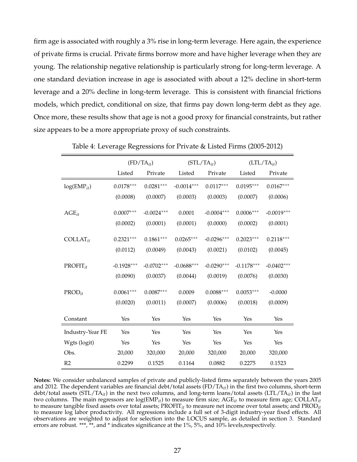firm age is associated with roughly a 3% rise in long-term leverage. Here again, the experience of private firms is crucial. Private firms borrow more and have higher leverage when they are young. The relationship negative relationship is particularly strong for long-term leverage. A one standard deviation increase in age is associated with about a 12% decline in short-term leverage and a 20% decline in long-term leverage. This is consistent with financial frictions models, which predict, conditional on size, that firms pay down long-term debt as they age. Once more, these results show that age is not a good proxy for financial constraints, but rather size appears to be a more appropriate proxy of such constraints.

<span id="page-28-0"></span>

|                  | $(FD/TA_{it})$ |              |              | $(STL/TA_{it})$ | $(LTL/TA_{it})$ |              |  |
|------------------|----------------|--------------|--------------|-----------------|-----------------|--------------|--|
|                  | Listed         | Private      | Listed       | Private         | Listed          | Private      |  |
| $log(EMP_{it})$  | $0.0178***$    | $0.0281***$  | $-0.0014***$ | $0.0117***$     |                 | $0.0167***$  |  |
|                  | (0.0008)       | (0.0007)     | (0.0003)     | (0.0003)        |                 | (0.0006)     |  |
| $AGE_{it}$       | $0.0007***$    | $-0.0024***$ | 0.0001       | $-0.0004***$    |                 | $-0.0019***$ |  |
|                  | (0.0002)       | (0.0001)     | (0.0001)     | (0.0000)        | (0.0002)        | (0.0001)     |  |
| $COLLAT_{it}$    | $0.2321***$    | $0.1861***$  | $0.0265***$  | $-0.0296***$    | $0.2023***$     | $0.2118***$  |  |
|                  | (0.0112)       | (0.0049)     | (0.0043)     | (0.0021)        |                 | (0.0045)     |  |
| $PROFIT_{it}$    | $-0.1928***$   | $-0.0702***$ | $-0.0688***$ | $-0.0290***$    | $-0.1178***$    | $-0.0402***$ |  |
|                  | (0.0090)       | (0.0037)     | (0.0044)     | (0.0019)        | (0.0076)        | (0.0030)     |  |
| $PROD_{it}$      | $0.0061***$    | $0.0087***$  | 0.0009       | $0.0088***$     | $0.0053***$     | $-0.0000$    |  |
|                  | (0.0020)       | (0.0011)     | (0.0007)     | (0.0006)        |                 | (0.0009)     |  |
| Constant         | Yes            | Yes          | Yes          | Yes             | Yes             | Yes          |  |
| Industry-Year FE | Yes            | Yes          | Yes          | Yes             | Yes             | Yes          |  |
| Wgts (logit)     | Yes            | Yes          | Yes          | Yes             | Yes             | Yes          |  |
| Obs.             | 20,000         | 320,000      | 20,000       | 320,000         | 20,000          | 320,000      |  |
| R <sub>2</sub>   | 0.2299         | 0.1525       | 0.1164       | 0.0882          | 0.2275          | 0.1523       |  |

Table 4: Leverage Regressions for Private & Listed Firms (2005-2012)

**Notes:** We consider unbalanced samples of private and publicly-listed firms separately between the years 2005 and 2012. The dependent variables are financial debt/total assets (FD/TA*it*) in the first two columns, short-term debt/total assets (STL/TA*it*) in the next two columns, and long-term loans/total assets (LTL/TA*it*) in the last two columns. The main regressors are log(EMP*it*) to measure firm size; AGE*it* to measure firm age; COLLAT*it* to measure tangible fixed assets over total assets; PROFIT*it* to measure net income over total assets; and PROD*it* to measure log labor productivity. All regressions include a full set of 3-digit industry-year fixed effects. All observations are weighted to adjust for selection into the LOCUS sample, as detailed in section [3.](#page-13-0) Standard errors are robust. \*\*\*, \*\*, and \* indicates significance at the 1%, 5%, and 10% levels, respectively.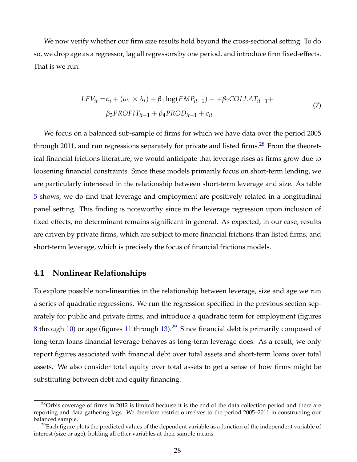We now verify whether our firm size results hold beyond the cross-sectional setting. To do so, we drop age as a regressor, lag all regressors by one period, and introduce firm fixed-effects. That is we run:

$$
LEV_{it} = \alpha_i + (\omega_s \times \lambda_t) + \beta_1 \log(EMP_{it-1}) + \beta_2 COLLAT_{it-1} +
$$
  
\n
$$
\beta_3 PROFIT_{it-1} + \beta_4 PROD_{it-1} + \epsilon_{it}
$$
\n(7)

We focus on a balanced sub-sample of firms for which we have data over the period 2005 through 2011, and run regressions separately for private and listed firms.<sup>[28](#page-29-0)</sup> From the theoretical financial frictions literature, we would anticipate that leverage rises as firms grow due to loosening financial constraints. Since these models primarily focus on short-term lending, we are particularly interested in the relationship between short-term leverage and size. As table [5](#page-30-0) shows, we do find that leverage and employment are positively related in a longitudinal panel setting. This finding is noteworthy since in the leverage regression upon inclusion of fixed effects, no determinant remains significant in general. As expected, in our case, results are driven by private firms, which are subject to more financial frictions than listed firms, and short-term leverage, which is precisely the focus of financial frictions models.

## **4.1 Nonlinear Relationships**

To explore possible non-linearities in the relationship between leverage, size and age we run a series of quadratic regressions. We run the regression specified in the previous section separately for public and private firms, and introduce a quadratic term for employment (figures [8](#page-32-0) through [10\)](#page-33-0) or age (figures [11](#page-34-0) through [13\)](#page-35-0).<sup>[29](#page-29-1)</sup> Since financial debt is primarily composed of long-term loans financial leverage behaves as long-term leverage does. As a result, we only report figures associated with financial debt over total assets and short-term loans over total assets. We also consider total equity over total assets to get a sense of how firms might be substituting between debt and equity financing.

<span id="page-29-0"></span><sup>&</sup>lt;sup>28</sup>Orbis coverage of firms in 2012 is limited because it is the end of the data collection period and there are reporting and data gathering lags. We therefore restrict ourselves to the period 2005–2011 in constructing our balanced sample.

<span id="page-29-1"></span> $^{29}$ Each figure plots the predicted values of the dependent variable as a function of the independent variable of interest (size or age), holding all other variables at their sample means.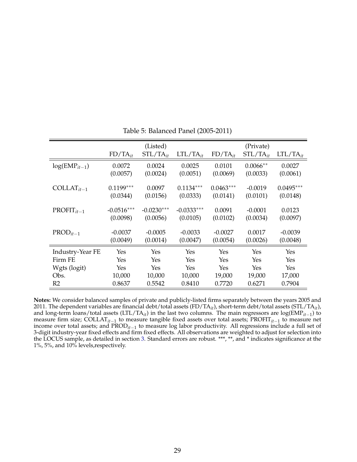<span id="page-30-0"></span>

|                   |              | (Listed)      |               | (Private)    |               |               |  |
|-------------------|--------------|---------------|---------------|--------------|---------------|---------------|--|
|                   | $FD/TA_{it}$ | $STL/TA_{it}$ | $LTL/TA_{it}$ | $FD/TA_{it}$ | $STL/TA_{it}$ | $LTL/TA_{it}$ |  |
| $log(EMP_{it-1})$ | 0.0072       | 0.0024        | 0.0025        | 0.0101       | $0.0066**$    | 0.0027        |  |
|                   | (0.0057)     | (0.0024)      | (0.0051)      | (0.0069)     | (0.0033)      | (0.0061)      |  |
| $COLLAT_{it-1}$   | $0.1199***$  | 0.0097        | $0.1134***$   | $0.0463***$  | $-0.0019$     | $0.0495***$   |  |
|                   | (0.0344)     | (0.0156)      | (0.0333)      | (0.0141)     | (0.0101)      | (0.0148)      |  |
| $PROFIT_{it-1}$   | $-0.0516***$ | $-0.0230***$  | $-0.0333***$  | 0.0091       | $-0.0001$     | 0.0123        |  |
|                   | (0.0098)     | (0.0056)      | (0.0105)      | (0.0102)     | (0.0034)      | (0.0097)      |  |
| $PROD_{it-1}$     | $-0.0037$    | $-0.0005$     | $-0.0033$     | $-0.0027$    | 0.0017        | $-0.0039$     |  |
|                   | (0.0049)     | (0.0014)      | (0.0047)      | (0.0054)     | (0.0026)      | (0.0048)      |  |
| Industry-Year FE  | Yes          | Yes           | Yes           | Yes          | Yes           | Yes           |  |
| Firm FE           | Yes          | Yes           | Yes           | Yes          | Yes           | Yes           |  |
| Wgts (logit)      | Yes          | Yes           | Yes           | Yes          | Yes           | Yes           |  |
| Obs.              | 10,000       | 10,000        | 10,000        | 19,000       | 19,000        | 17,000        |  |
| R <sub>2</sub>    | 0.8637       | 0.5542        | 0.8410        | 0.7720       | 0.6271        | 0.7904        |  |

Table 5: Balanced Panel (2005-2011)

**Notes:** We consider balanced samples of private and publicly-listed firms separately between the years 2005 and 2011. The dependent variables are financial debt/total assets (FD/TA*it*), short-term debt/total assets (STL/TA*it*), and long-term loans/total assets (LTL/TA*it*) in the last two columns. The main regressors are log(EMP*it*−<sup>1</sup> ) to measure firm size; COLLAT*it*−<sup>1</sup> to measure tangible fixed assets over total assets; PROFIT*it*−<sup>1</sup> to measure net income over total assets; and PROD*it*−<sup>1</sup> to measure log labor productivity. All regressions include a full set of 3-digit industry-year fixed effects and firm fixed effects. All observations are weighted to adjust for selection into the LOCUS sample, as detailed in section [3.](#page-13-0) Standard errors are robust. \*\*\*, \*\*, and \* indicates significance at the 1%, 5%, and 10% levels,respectively.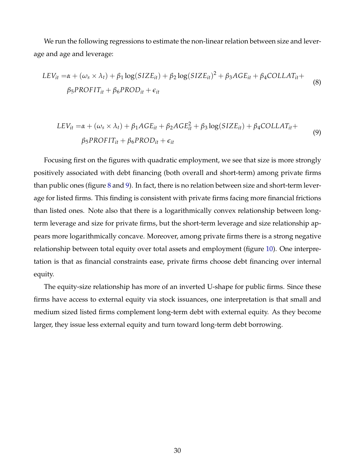We run the following regressions to estimate the non-linear relation between size and leverage and age and leverage:

$$
LEV_{it} = \alpha + (\omega_s \times \lambda_t) + \beta_1 \log(SIZE_{it}) + \beta_2 \log(SIZE_{it})^2 + \beta_3 AGE_{it} + \beta_4 COLLAT_{it} +
$$
  

$$
\beta_5 PROFIT_{it} + \beta_6 PROD_{it} + \epsilon_{it}
$$
 (8)

$$
LEV_{it} = \alpha + (\omega_s \times \lambda_t) + \beta_1 AGE_{it} + \beta_2 AGE_{it}^2 + \beta_3 \log(SIZE_{it}) + \beta_4 COLLAT_{it} +
$$
  

$$
\beta_5 PROFIT_{it} + \beta_6 PROD_{it} + \epsilon_{it}
$$
 (9)

Focusing first on the figures with quadratic employment, we see that size is more strongly positively associated with debt financing (both overall and short-term) among private firms than public ones (figure [8](#page-32-0) and [9\)](#page-32-1). In fact, there is no relation between size and short-term leverage for listed firms. This finding is consistent with private firms facing more financial frictions than listed ones. Note also that there is a logarithmically convex relationship between longterm leverage and size for private firms, but the short-term leverage and size relationship appears more logarithmically concave. Moreover, among private firms there is a strong negative relationship between total equity over total assets and employment (figure [10\)](#page-33-0). One interpretation is that as financial constraints ease, private firms choose debt financing over internal equity.

The equity-size relationship has more of an inverted U-shape for public firms. Since these firms have access to external equity via stock issuances, one interpretation is that small and medium sized listed firms complement long-term debt with external equity. As they become larger, they issue less external equity and turn toward long-term debt borrowing.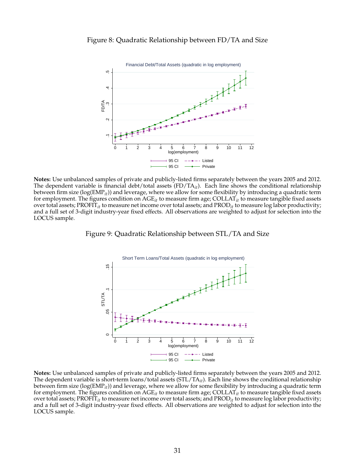<span id="page-32-0"></span>

**Notes:** Use unbalanced samples of private and publicly-listed firms separately between the years 2005 and 2012. The dependent variable is financial debt/total assets (FD/TA*it*). Each line shows the conditional relationship between firm size (log(EMP*it*)) and leverage, where we allow for some flexibility by introducing a quadratic term for employment. The figures condition on AGE*it* to measure firm age; COLLAT*it* to measure tangible fixed assets over total assets; PROFIT*it* to measure net income over total assets; and PROD*it* to measure log labor productivity; and a full set of 3-digit industry-year fixed effects. All observations are weighted to adjust for selection into the LOCUS sample.

<span id="page-32-1"></span>



**Notes:** Use unbalanced samples of private and publicly-listed firms separately between the years 2005 and 2012. The dependent variable is short-term loans/total assets (STL/TA*it*). Each line shows the conditional relationship between firm size (log(EMP*it*)) and leverage, where we allow for some flexibility by introducing a quadratic term for employment. The figures condition on AGE*it* to measure firm age; COLLAT*it* to measure tangible fixed assets over total assets; PROFIT*it* to measure net income over total assets; and PROD*it* to measure log labor productivity; and a full set of 3-digit industry-year fixed effects. All observations are weighted to adjust for selection into the LOCUS sample.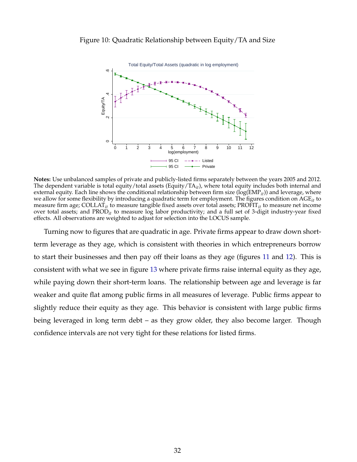#### <span id="page-33-0"></span>Figure 10: Quadratic Relationship between Equity/TA and Size



**Notes:** Use unbalanced samples of private and publicly-listed firms separately between the years 2005 and 2012. The dependent variable is total equity/total assets (Equity/TA<sub>*it*</sub>), where total equity includes both internal and external equity. Each line shows the conditional relationship between firm size (log(EMP*it*)) and leverage, where we allow for some flexibility by introducing a quadratic term for employment. The figures condition on AGE*it* to measure firm age; COLLAT*it* to measure tangible fixed assets over total assets; PROFIT*it* to measure net income over total assets; and PROD*it* to measure log labor productivity; and a full set of 3-digit industry-year fixed effects. All observations are weighted to adjust for selection into the LOCUS sample.

Turning now to figures that are quadratic in age. Private firms appear to draw down shortterm leverage as they age, which is consistent with theories in which entrepreneurs borrow to start their businesses and then pay off their loans as they age (figures [11](#page-34-0) and [12\)](#page-34-1). This is consistent with what we see in figure [13](#page-35-0) where private firms raise internal equity as they age, while paying down their short-term loans. The relationship between age and leverage is far weaker and quite flat among public firms in all measures of leverage. Public firms appear to slightly reduce their equity as they age. This behavior is consistent with large public firms being leveraged in long term debt – as they grow older, they also become larger. Though confidence intervals are not very tight for these relations for listed firms.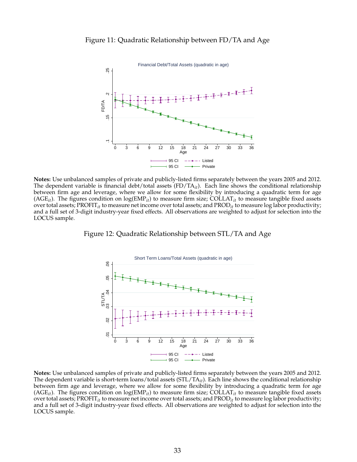<span id="page-34-0"></span>



<span id="page-34-1"></span>**Notes:** Use unbalanced samples of private and publicly-listed firms separately between the years 2005 and 2012. The dependent variable is financial debt/total assets (FD/TA*it*). Each line shows the conditional relationship between firm age and leverage, where we allow for some flexibility by introducing a quadratic term for age  $(AGE<sub>it</sub>)$ . The figures condition on  $log(EMP<sub>it</sub>)$  to measure firm size; COLLAT<sub>it</sub> to measure tangible fixed assets over total assets; PROFIT*it* to measure net income over total assets; and PROD*it* to measure log labor productivity; and a full set of 3-digit industry-year fixed effects. All observations are weighted to adjust for selection into the LOCUS sample.

Figure 12: Quadratic Relationship between STL/TA and Age



**Notes:** Use unbalanced samples of private and publicly-listed firms separately between the years 2005 and 2012. The dependent variable is short-term loans/total assets (STL/TA*it*). Each line shows the conditional relationship between firm age and leverage, where we allow for some flexibility by introducing a quadratic term for age  $(AGE<sub>it</sub>)$ . The figures condition on  $log(EMP<sub>it</sub>)$  to measure firm size; COLLAT<sub>it</sub> to measure tangible fixed assets over total assets; PROFIT*it* to measure net income over total assets; and PROD*it* to measure log labor productivity; and a full set of 3-digit industry-year fixed effects. All observations are weighted to adjust for selection into the LOCUS sample.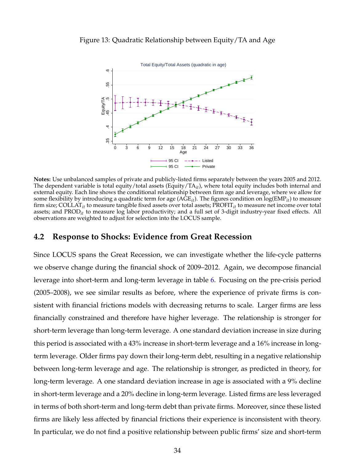

#### <span id="page-35-0"></span>Figure 13: Quadratic Relationship between Equity/TA and Age

**Notes:** Use unbalanced samples of private and publicly-listed firms separately between the years 2005 and 2012. The dependent variable is total equity/total assets (Equity/TA<sub>*it*</sub>), where total equity includes both internal and external equity. Each line shows the conditional relationship between firm age and leverage, where we allow for some flexibility by introducing a quadratic term for age (AGE*it*). The figures condition on log(EMP*it*) to measure firm size; COLLAT*it* to measure tangible fixed assets over total assets; PROFIT*it* to measure net income over total assets; and PROD*it* to measure log labor productivity; and a full set of 3-digit industry-year fixed effects. All observations are weighted to adjust for selection into the LOCUS sample.

## **4.2 Response to Shocks: Evidence from Great Recession**

Since LOCUS spans the Great Recession, we can investigate whether the life-cycle patterns we observe change during the financial shock of 2009–2012. Again, we decompose financial leverage into short-term and long-term leverage in table [6.](#page-37-0) Focusing on the pre-crisis period (2005–2008), we see similar results as before, where the experience of private firms is consistent with financial frictions models with decreasing returns to scale. Larger firms are less financially constrained and therefore have higher leverage. The relationship is stronger for short-term leverage than long-term leverage. A one standard deviation increase in size during this period is associated with a 43% increase in short-term leverage and a 16% increase in longterm leverage. Older firms pay down their long-term debt, resulting in a negative relationship between long-term leverage and age. The relationship is stronger, as predicted in theory, for long-term leverage. A one standard deviation increase in age is associated with a 9% decline in short-term leverage and a 20% decline in long-term leverage. Listed firms are less leveraged in terms of both short-term and long-term debt than private firms. Moreover, since these listed firms are likely less affected by financial frictions their experience is inconsistent with theory. In particular, we do not find a positive relationship between public firms' size and short-term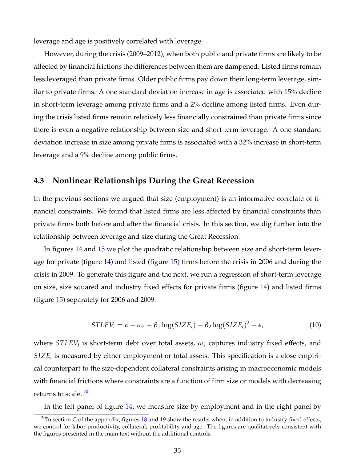leverage and age is positively correlated with leverage.

However, during the crisis (2009–2012), when both public and private firms are likely to be affected by financial frictions the differences between them are dampened. Listed firms remain less leveraged than private firms. Older public firms pay down their long-term leverage, similar to private firms. A one standard deviation increase in age is associated with 15% decline in short-term leverage among private firms and a 2% decline among listed firms. Even during the crisis listed firms remain relatively less financially constrained than private firms since there is even a negative relationship between size and short-term leverage. A one standard deviation increase in size among private firms is associated with a 32% increase in short-term leverage and a 9% decline among public firms.

## <span id="page-36-1"></span>**4.3 Nonlinear Relationships During the Great Recession**

In the previous sections we argued that size (employment) is an informative correlate of financial constraints. We found that listed firms are less affected by financial constraints than private firms both before and after the financial crisis. In this section, we dig further into the relationship between leverage and size during the Great Recession.

In figures [14](#page-38-0) and [15](#page-39-0) we plot the quadratic relationship between size and short-term leverage for private (figure [14\)](#page-38-0) and listed (figure [15\)](#page-39-0) firms before the crisis in 2006 and during the crisis in 2009. To generate this figure and the next, we run a regression of short-term leverage on size, size squared and industry fixed effects for private firms (figure [14\)](#page-38-0) and listed firms (figure [15\)](#page-39-0) separately for 2006 and 2009.

$$
STLEV_i = \alpha + \omega_s + \beta_1 \log(SIZE_i) + \beta_2 \log(SIZE_i)^2 + \epsilon_i
$$
\n(10)

where  $STLEY_i$  is short-term debt over total assets*,*  $\omega_s$  captures industry fixed effects*,* and  $SIZE<sub>i</sub>$  is measured by either employment or total assets. This specification is a close empirical counterpart to the size-dependent collateral constraints arising in macroeconomic models with financial frictions where constraints are a function of firm size or models with decreasing returns to scale.  $30$ 

<span id="page-36-0"></span>In the left panel of figure [14,](#page-38-0) we measure size by employment and in the right panel by

 $30$ In section [C](#page-54-0) of the appendix, figures [18](#page-55-0) and [19](#page-55-1) show the results when, in addition to industry fixed effects, we control for labor productivity, collateral, profitability and age. The figures are qualitatively consistent with the figures presented in the main text without the additional controls.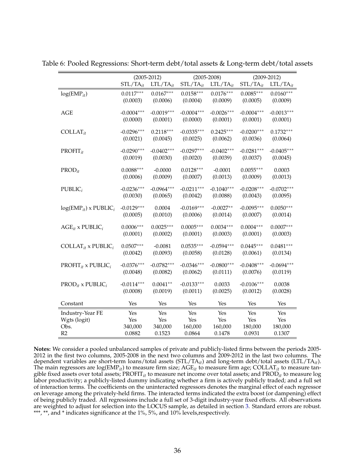|                                            | $(2005 - 2012)$ |               |               | $(2005 - 2008)$ | $(2009 - 2012)$ |               |  |
|--------------------------------------------|-----------------|---------------|---------------|-----------------|-----------------|---------------|--|
|                                            | $STL/TA_{it}$   | $LTL/TA_{it}$ | $STL/TA_{it}$ | $LTL/TA_{it}$   | $STL/TA_{it}$   | $LTL/TA_{it}$ |  |
| $log(EMP_{it})$                            | $0.0117***$     | $0.0167***$   | $0.0158***$   | $0.0176***$     | $0.0085***$     | $0.0160***$   |  |
|                                            | (0.0003)        | (0.0006)      | (0.0004)      | (0.0009)        | (0.0005)        | (0.0009)      |  |
| <b>AGE</b>                                 | $-0.0004***$    | $-0.0019***$  | $-0.0004***$  | $-0.0026***$    | $-0.0004***$    | $-0.0013***$  |  |
|                                            | (0.0000)        | (0.0001)      | (0.0000)      | (0.0001)        | (0.0001)        | (0.0001)      |  |
| $COLLAT_{it}$                              | $-0.0296***$    | $0.2118***$   | $-0.0335***$  | $0.2425***$     | $-0.0200***$    | $0.1732***$   |  |
|                                            | (0.0021)        | (0.0045)      | (0.0025)      | (0.0062)        | (0.0036)        | (0.0064)      |  |
| $PROFIT_{it}$                              | $-0.0290***$    | $-0.0402***$  | $-0.0297***$  | $-0.0402***$    | $-0.0281***$    | $-0.0405***$  |  |
|                                            | (0.0019)        | (0.0030)      | (0.0020)      | (0.0039)        | (0.0037)        | (0.0045)      |  |
| $PROD_{it}$                                | $0.0088***$     | $-0.0000$     | $0.0128***$   | $-0.0001$       | $0.0055***$     | 0.0003        |  |
|                                            | (0.0006)        | (0.0009)      | (0.0007)      | (0.0013)        | (0.0009)        | (0.0013)      |  |
| $\text{PUBLIC}_i$                          | $-0.0236***$    | $-0.0964***$  | $-0.0211***$  | $-0.1040***$    | $-0.0208***$    | $-0.0702***$  |  |
|                                            | (0.0030)        | (0.0065)      | (0.0042)      | (0.0088)        | (0.0043)        | (0.0095)      |  |
| $log(EMP_{it})$ x PUBLIC <sub>i</sub>      | $-0.0129***$    | 0.0004        | $-0.0169***$  | $-0.0027**$     | $-0.0095***$    | $0.0050***$   |  |
|                                            | (0.0005)        | (0.0010)      | (0.0006)      | (0.0014)        | (0.0007)        | (0.0014)      |  |
| $AGE_{it}$ x PUBLIC <sub>i</sub>           | $0.0006***$     | $0.0025***$   | $0.0005***$   | $0.0034***$     | $0.0004***$     | $0.0007***$   |  |
|                                            | (0.0001)        | (0.0002)      | (0.0001)      | (0.0003)        | (0.0001)        | (0.0003)      |  |
| COLLAT <sub>it</sub> x PUBLIC <sub>i</sub> | $0.0507***$     | $-0.0081$     | $0.0535***$   | $-0.0594***$    | $0.0445***$     | $0.0481***$   |  |
|                                            | (0.0042)        | (0.0093)      | (0.0058)      | (0.0128)        | (0.0061)        | (0.0134)      |  |
| $PROFIT_{it}$ x $PUBLIC_i$                 | $-0.0376***$    | $-0.0782***$  | $-0.0346***$  | $-0.0800***$    | $-0.0408***$    | $-0.0694***$  |  |
|                                            | (0.0048)        | (0.0082)      | (0.0062)      | (0.0111)        | (0.0076)        | (0.0119)      |  |
| $PROD_{it}$ x PUBLIC <sub>i</sub>          | $-0.0114***$    | $0.0041**$    | $-0.0133***$  | 0.0033          | $-0.0106***$    | 0.0038        |  |
|                                            | (0.0008)        | (0.0019)      | (0.0011)      | (0.0025)        | (0.0012)        | (0.0028)      |  |
| Constant                                   | Yes             | Yes           | Yes           | Yes             | Yes             | Yes           |  |
| Industry-Year FE                           | Yes             | Yes           | Yes           | Yes             | Yes             | Yes           |  |
| Wgts (logit)                               | Yes             | Yes           | Yes           | Yes             | Yes             | Yes           |  |
| Obs.                                       | 340,000         | 340,000       | 160,000       | 160,000         | 180,000         | 180,000       |  |
| R2                                         | 0.0882          | 0.1523        | 0.0864        | 0.1478          | 0.0931          | 0.1307        |  |

<span id="page-37-0"></span>Table 6: Pooled Regressions: Short-term debt/total assets & Long-term debt/total assets

**Notes:** We consider a pooled unbalanced samples of private and publicly-listed firms between the periods 2005- 2012 in the first two columns, 2005-2008 in the next two columns and 2009-2012 in the last two columns. The dependent variables are short-term loans/total assets (STL/TA*it*) and long-term debt/total assets (LTL/TA*it*). The main regressors are log(EMP*it*) to measure firm size; AGE*it* to measure firm age; COLLAT*it* to measure tangible fixed assets over total assets; PROFIT*it* to measure net income over total assets; and PROD*it* to measure log labor productivity; a publicly-listed dummy indicating whether a firm is actively publicly traded; and a full set of interaction terms. The coefficients on the uninteracted regressors denotes the marginal effect of each regressor on leverage among the privately-held firms. The interacted terms indicated the extra boost (or dampening) effect of being publicly traded. All regressions include a full set of 3-digit industry-year fixed effects. All observations are weighted to adjust for selection into the LOCUS sample, as detailed in section [3.](#page-13-0) Standard errors are robust. \*\*\*, \*\*, and \* indicates significance at the 1%, 5%, and 10% levels, respectively.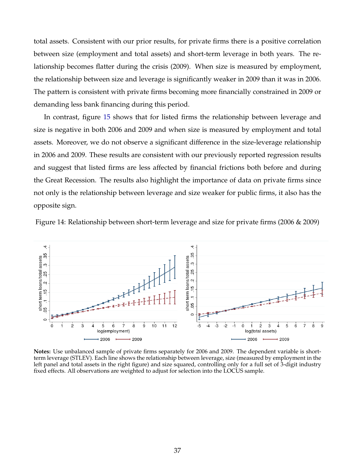total assets. Consistent with our prior results, for private firms there is a positive correlation between size (employment and total assets) and short-term leverage in both years. The relationship becomes flatter during the crisis (2009). When size is measured by employment, the relationship between size and leverage is significantly weaker in 2009 than it was in 2006. The pattern is consistent with private firms becoming more financially constrained in 2009 or demanding less bank financing during this period.

In contrast, figure [15](#page-39-0) shows that for listed firms the relationship between leverage and size is negative in both 2006 and 2009 and when size is measured by employment and total assets. Moreover, we do not observe a significant difference in the size-leverage relationship in 2006 and 2009. These results are consistent with our previously reported regression results and suggest that listed firms are less affected by financial frictions both before and during the Great Recession. The results also highlight the importance of data on private firms since not only is the relationship between leverage and size weaker for public firms, it also has the opposite sign.

<span id="page-38-0"></span>Figure 14: Relationship between short-term leverage and size for private firms (2006 & 2009)



**Notes:** Use unbalanced sample of private firms separately for 2006 and 2009. The dependent variable is shortterm leverage (STLEV). Each line shows the relationship between leverage, size (measured by employment in the left panel and total assets in the right figure) and size squared, controlling only for a full set of 3-digit industry fixed effects. All observations are weighted to adjust for selection into the LOCUS sample.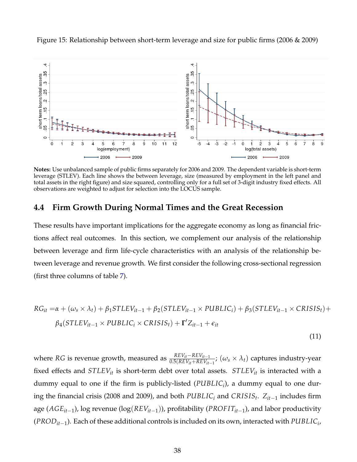

<span id="page-39-0"></span>Figure 15: Relationship between short-term leverage and size for public firms (2006 & 2009)

**Notes:** Use unbalanced sample of public firms separately for 2006 and 2009. The dependent variable is short-term leverage (STLEV). Each line shows the between leverage, size (measured by employment in the left panel and total assets in the right figure) and size squared, controlling only for a full set of 3-digit industry fixed effects. All observations are weighted to adjust for selection into the LOCUS sample.

## **4.4 Firm Growth During Normal Times and the Great Recession**

These results have important implications for the aggregate economy as long as financial frictions affect real outcomes. In this section, we complement our analysis of the relationship between leverage and firm life-cycle characteristics with an analysis of the relationship between leverage and revenue growth. We first consider the following cross-sectional regression (first three columns of table [7\)](#page-41-0).

$$
RG_{it} = \alpha + (\omega_s \times \lambda_t) + \beta_1 STEV_{it-1} + \beta_2 (STLEV_{it-1} \times PUBLIC_i) + \beta_3 (STLEV_{it-1} \times CRISIS_t) + \beta_4 (STLEV_{it-1} \times PUBLIC_i \times CRISIS_t) + \Gamma' Z_{it-1} + \epsilon_{it}
$$
\n(11)

where *RG* is revenue growth, measured as  $\frac{REV_{it} - REV_{it-1}}{0.5(REV_{it} + REV_{it-1})}$ ;  $(\omega_s \times \lambda_t)$  captures industry-year fixed effects and *STLEVit* is short-term debt over total assets. *STLEVit* is interacted with a dummy equal to one if the firm is publicly-listed (*PUBLIC<sup>i</sup>* ), a dummy equal to one during the financial crisis (2008 and 2009), and both *PUBLIC<sup>i</sup>* and *CRISIS<sup>t</sup>* . *Zit*−<sup>1</sup> includes firm age (*AGEit*−<sup>1</sup> ), log revenue (log(*REVit*−1)), profitability (*PROF ITit*−<sup>1</sup> ), and labor productivity (*PRODit*−<sup>1</sup> ). Each of these additional controls is included on its own, interacted with *PUBLIC<sup>i</sup>* ,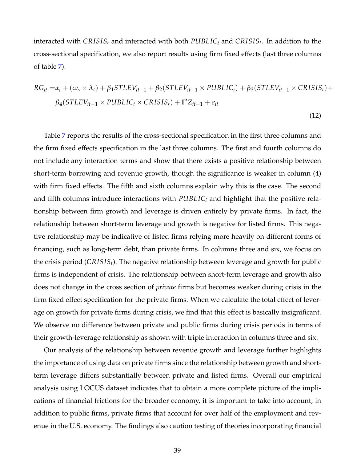interacted with *CRISIS<sup>t</sup>* and interacted with both *PUBLIC<sup>i</sup>* and *CRISIS<sup>t</sup>* . In addition to the cross-sectional specification, we also report results using firm fixed effects (last three columns of table [7\)](#page-41-0):

$$
RG_{it} = \alpha_i + (\omega_s \times \lambda_t) + \beta_1 STEV_{it-1} + \beta_2(STLEV_{it-1} \times PUBLIC_i) + \beta_3(STLEV_{it-1} \times CRISIS_t) +
$$
  

$$
\beta_4(STLEV_{it-1} \times PUBLIC_i \times CRISIS_t) + \Gamma' Z_{it-1} + \epsilon_{it}
$$

(12)

Table [7](#page-41-0) reports the results of the cross-sectional specification in the first three columns and the firm fixed effects specification in the last three columns. The first and fourth columns do not include any interaction terms and show that there exists a positive relationship between short-term borrowing and revenue growth, though the significance is weaker in column (4) with firm fixed effects. The fifth and sixth columns explain why this is the case. The second and fifth columns introduce interactions with *PUBLIC<sup>i</sup>* and highlight that the positive relationship between firm growth and leverage is driven entirely by private firms. In fact, the relationship between short-term leverage and growth is negative for listed firms. This negative relationship may be indicative of listed firms relying more heavily on different forms of financing, such as long-term debt, than private firms. In columns three and six, we focus on the crisis period (*CRISISt*). The negative relationship between leverage and growth for public firms is independent of crisis. The relationship between short-term leverage and growth also does not change in the cross section of *private* firms but becomes weaker during crisis in the firm fixed effect specification for the private firms. When we calculate the total effect of leverage on growth for private firms during crisis, we find that this effect is basically insignificant. We observe no difference between private and public firms during crisis periods in terms of their growth-leverage relationship as shown with triple interaction in columns three and six.

Our analysis of the relationship between revenue growth and leverage further highlights the importance of using data on private firms since the relationship between growth and shortterm leverage differs substantially between private and listed firms. Overall our empirical analysis using LOCUS dataset indicates that to obtain a more complete picture of the implications of financial frictions for the broader economy, it is important to take into account, in addition to public firms, private firms that account for over half of the employment and revenue in the U.S. economy. The findings also caution testing of theories incorporating financial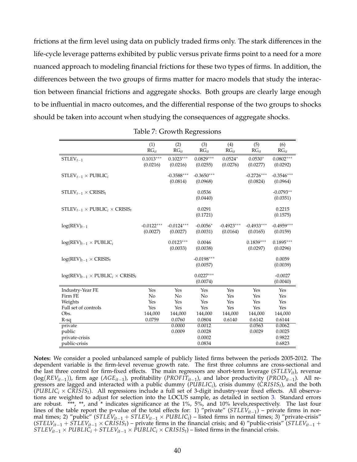frictions at the firm level using data on publicly traded firms only. The stark differences in the life-cycle leverage patterns exhibited by public versus private firms point to a need for a more nuanced approach to modeling financial frictions for these two types of firms. In addition, the differences between the two groups of firms matter for macro models that study the interaction between financial frictions and aggregate shocks. Both groups are clearly large enough to be influential in macro outcomes, and the differential response of the two groups to shocks should be taken into account when studying the consequences of aggregate shocks.

<span id="page-41-0"></span>

|                                                  | (1)<br>$RG_{it}$         | (2)<br>$RG_{it}$         | (3)<br>$RG_{it}$         | (4)<br>$RG_{it}$         | (5)<br>$RG_{it}$         | (6)<br>$RG_{it}$         |
|--------------------------------------------------|--------------------------|--------------------------|--------------------------|--------------------------|--------------------------|--------------------------|
| $STLEV_{t-1}$                                    | $0.1013***$<br>(0.0216)  | $0.1023***$<br>(0.0216)  | $0.0829***$<br>(0.0255)  | $0.0524*$<br>(0.0276)    | $0.0530*$<br>(0.0277)    | $0.0802***$<br>(0.0292)  |
| $STLEV_{t-1} \times \text{PUBLIC}_i$             |                          | $-0.3588***$<br>(0.0814) | $-0.3650***$<br>(0.0968) |                          | $-0.2726***$<br>(0.0824) | $-0.3546***$<br>(0.0964) |
| $STLEV_{t-1} \times CRISIS_t$                    |                          |                          | 0.0536<br>(0.0440)       |                          |                          | $-0.0793**$<br>(0.0351)  |
| $STLEV_{t-1} \times PUBLIC_i \times CRISIS_t$    |                          |                          | 0.0291<br>(0.1721)       |                          |                          | 0.2215<br>(0.1575)       |
| $log(REV)_{t-1}$                                 | $-0.0122***$<br>(0.0027) | $-0.0124***$<br>(0.0027) | $-0.0056*$<br>(0.0031)   | $-0.4923***$<br>(0.0164) | $-0.4933***$<br>(0.0165) | $-0.4959***$<br>(0.0159) |
| $log(REV)_{t-1} \times PUBLIC_i$                 |                          | $0.0123***$<br>(0.0033)  | 0.0046<br>(0.0038)       |                          | $0.1839***$<br>(0.0297)  | $0.1895***$<br>(0.0296)  |
| $log(REV)_{t-1} \times CRISIS_t$                 |                          |                          | $-0.0198***$<br>(0.0057) |                          |                          | 0.0059<br>(0.0039)       |
| $log(REV)_{t-1} \times PUBLIC_i \times CRISIS_t$ |                          |                          | $0.0227***$<br>(0.0074)  |                          |                          | $-0.0027$<br>(0.0040)    |
| Industry-Year FE                                 | Yes                      | Yes                      | Yes                      | Yes                      | Yes                      | Yes                      |
| Firm FE                                          | No                       | No                       | No                       | Yes                      | Yes                      | Yes                      |
| Weights                                          | Yes                      | Yes                      | Yes                      | Yes                      | Yes                      | Yes                      |
| Full set of controls                             | Yes                      | Yes                      | Yes                      | Yes                      | Yes                      | Yes                      |
| Obs.                                             | 144,000                  | 144,000                  | 144,000                  | 144,000                  | 144,000                  | 144,000                  |
| $R-sq$                                           | 0.0759                   | 0.0760                   | 0.0804                   | 0.6140                   | 0.6142                   | 0.6144                   |
| private                                          |                          | 0.0000                   | 0.0012                   |                          | 0.0563                   | 0.0062                   |
| public                                           |                          | 0.0009                   | 0.0028                   |                          | 0.0029                   | 0.0025                   |
| private-crisis                                   |                          |                          | 0.0002                   |                          |                          | 0.9822                   |
| public-crisis                                    |                          |                          | 0.0834                   |                          |                          | 0.6823                   |

Table 7: Growth Regressions

**Notes:** We consider a pooled unbalanced sample of publicly listed firms between the periods 2005-2012. The dependent variable is the firm-level revenue growth rate. The first three columns are cross-sectional and the last three control for firm-fixed effects. The main regressors are short-term leverage (*STLEVit*), revenue (log(*REVit*−1)), firm age (*AGEit*−<sup>1</sup> ), profitability (*PROF ITit*−<sup>1</sup> ), and labor productivity (*PRODit*−<sup>1</sup> ). All regressors are lagged and interacted with a public dummy (*PUBLIC<sup>i</sup>* ), crisis dummy (*CRISISt*), and the both  $(PUBLIC<sub>i</sub> × CRISIS<sub>t</sub>)$ . All regressions include a full set of 3-digit industry-year fixed effects. All observations are weighted to adjust for selection into the LOCUS sample, as detailed in section [3.](#page-13-0) Standard errors are robust. \*\*\*, \*\*, and \* indicates significance at the 1%, 5%, and 10% levels,respectively. The last four lines of the table report the p-value of the total effects for: 1) "private" (*STLEVit*−<sup>1</sup> ) – private firms in normal times; 2) "public" (*STLEVit*−<sup>1</sup> + *STLEVit*−<sup>1</sup> × *PUBLIC<sup>i</sup>* ) – listed firms in normal times; 3) "private-crisis"  $(STELV<sub>it-1</sub> + \hat{STLE}V<sub>it-1</sub> × CRISIS<sub>t</sub>)$  – private firms in the financial crisis; and 4) "public-crisis" ( $STLEV<sub>it-1</sub>$  + *STLEV*<sub>*it*−1</sub> × *PUBLIC*<sup>*i*</sup> + *STLEV*<sub>*it*−1</sub> × *PUBLIC*<sup>*i*</sup> × *CRISISt*</sub>) – listed firms in the financial crisis.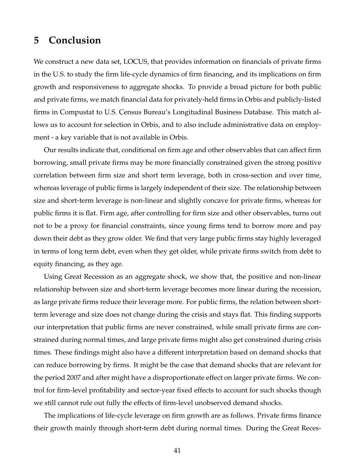# <span id="page-42-0"></span>**5 Conclusion**

We construct a new data set, LOCUS, that provides information on financials of private firms in the U.S. to study the firm life-cycle dynamics of firm financing, and its implications on firm growth and responsiveness to aggregate shocks. To provide a broad picture for both public and private firms, we match financial data for privately-held firms in Orbis and publicly-listed firms in Compustat to U.S. Census Bureau's Longitudinal Business Database. This match allows us to account for selection in Orbis, and to also include administrative data on employment - a key variable that is not available in Orbis.

Our results indicate that, conditional on firm age and other observables that can affect firm borrowing, small private firms may be more financially constrained given the strong positive correlation between firm size and short term leverage, both in cross-section and over time, whereas leverage of public firms is largely independent of their size. The relationship between size and short-term leverage is non-linear and slightly concave for private firms, whereas for public firms it is flat. Firm age, after controlling for firm size and other observables, turns out not to be a proxy for financial constraints, since young firms tend to borrow more and pay down their debt as they grow older. We find that very large public firms stay highly leveraged in terms of long term debt, even when they get older, while private firms switch from debt to equity financing, as they age.

Using Great Recession as an aggregate shock, we show that, the positive and non-linear relationship between size and short-term leverage becomes more linear during the recession, as large private firms reduce their leverage more. For public firms, the relation between shortterm leverage and size does not change during the crisis and stays flat. This finding supports our interpretation that public firms are never constrained, while small private firms are constrained during normal times, and large private firms might also get constrained during crisis times. These findings might also have a different interpretation based on demand shocks that can reduce borrowing by firms. It might be the case that demand shocks that are relevant for the period 2007 and after might have a disproportionate effect on larger private firms. We control for firm-level profitability and sector-year fixed effects to account for such shocks though we still cannot rule out fully the effects of firm-level unobserved demand shocks.

The implications of life-cycle leverage on firm growth are as follows. Private firms finance their growth mainly through short-term debt during normal times. During the Great Reces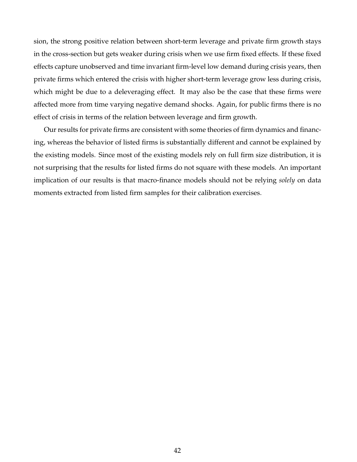sion, the strong positive relation between short-term leverage and private firm growth stays in the cross-section but gets weaker during crisis when we use firm fixed effects. If these fixed effects capture unobserved and time invariant firm-level low demand during crisis years, then private firms which entered the crisis with higher short-term leverage grow less during crisis, which might be due to a deleveraging effect. It may also be the case that these firms were affected more from time varying negative demand shocks. Again, for public firms there is no effect of crisis in terms of the relation between leverage and firm growth.

Our results for private firms are consistent with some theories of firm dynamics and financing, whereas the behavior of listed firms is substantially different and cannot be explained by the existing models. Since most of the existing models rely on full firm size distribution, it is not surprising that the results for listed firms do not square with these models. An important implication of our results is that macro-finance models should not be relying *solely* on data moments extracted from listed firm samples for their calibration exercises.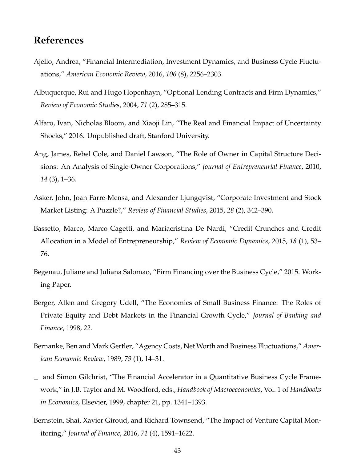# **References**

- <span id="page-44-5"></span>Ajello, Andrea, "Financial Intermediation, Investment Dynamics, and Business Cycle Fluctuations," *American Economic Review*, 2016, *106* (8), 2256–2303.
- <span id="page-44-0"></span>Albuquerque, Rui and Hugo Hopenhayn, "Optional Lending Contracts and Firm Dynamics," *Review of Economic Studies*, 2004, *71* (2), 285–315.
- <span id="page-44-4"></span>Alfaro, Ivan, Nicholas Bloom, and Xiaoji Lin, "The Real and Financial Impact of Uncertainty Shocks," 2016. Unpublished draft, Stanford University.
- <span id="page-44-8"></span>Ang, James, Rebel Cole, and Daniel Lawson, "The Role of Owner in Capital Structure Decisions: An Analysis of Single-Owner Corporations," *Journal of Entrepreneurial Finance*, 2010, *14* (3), 1–36.
- <span id="page-44-10"></span>Asker, John, Joan Farre-Mensa, and Alexander Ljungqvist, "Corporate Investment and Stock Market Listing: A Puzzle?," *Review of Financial Studies*, 2015, *28* (2), 342–390.
- <span id="page-44-3"></span>Bassetto, Marco, Marco Cagetti, and Mariacristina De Nardi, "Credit Crunches and Credit Allocation in a Model of Entrepreneurship," *Review of Economic Dynamics*, 2015, *18* (1), 53– 76.
- <span id="page-44-6"></span>Begenau, Juliane and Juliana Salomao, "Firm Financing over the Business Cycle," 2015. Working Paper.
- <span id="page-44-9"></span>Berger, Allen and Gregory Udell, "The Economics of Small Business Finance: The Roles of Private Equity and Debt Markets in the Financial Growth Cycle," *Journal of Banking and Finance*, 1998, *22.*
- <span id="page-44-2"></span>Bernanke, Ben and Mark Gertler, "Agency Costs, Net Worth and Business Fluctuations," *American Economic Review*, 1989, *79* (1), 14–31.
- <span id="page-44-1"></span> $\equiv$  and Simon Gilchrist, "The Financial Accelerator in a Quantitative Business Cycle Framework," in J.B. Taylor and M. Woodford, eds., *Handbook of Macroeconomics*, Vol. 1 of *Handbooks in Economics*, Elsevier, 1999, chapter 21, pp. 1341–1393.
- <span id="page-44-7"></span>Bernstein, Shai, Xavier Giroud, and Richard Townsend, "The Impact of Venture Capital Monitoring," *Journal of Finance*, 2016, *71* (4), 1591–1622.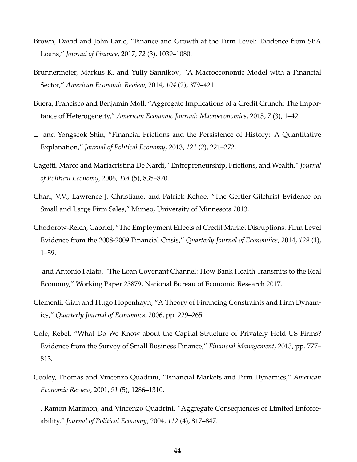- <span id="page-45-11"></span>Brown, David and John Earle, "Finance and Growth at the Firm Level: Evidence from SBA Loans," *Journal of Finance*, 2017, *72* (3), 1039–1080.
- <span id="page-45-2"></span>Brunnermeier, Markus K. and Yuliy Sannikov, "A Macroeconomic Model with a Financial Sector," *American Economic Review*, 2014, *104* (2), 379–421.
- <span id="page-45-1"></span>Buera, Francisco and Benjamin Moll, "Aggregate Implications of a Credit Crunch: The Importance of Heterogeneity," *American Economic Journal: Macroeconomics*, 2015, *7* (3), 1–42.
- <span id="page-45-8"></span>and Yongseok Shin, "Financial Frictions and the Persistence of History: A Quantitative Explanation," *Journal of Political Economy*, 2013, *121* (2), 221–272.
- <span id="page-45-4"></span>Cagetti, Marco and Mariacristina De Nardi, "Entrepreneurship, Frictions, and Wealth," *Journal of Political Economy*, 2006, *114* (5), 835–870.
- <span id="page-45-5"></span>Chari, V.V., Lawrence J. Christiano, and Patrick Kehoe, "The Gertler-Gilchrist Evidence on Small and Large Firm Sales," Mimeo, University of Minnesota 2013.
- <span id="page-45-6"></span>Chodorow-Reich, Gabriel, "The Employment Effects of Credit Market Disruptions: Firm Level Evidence from the 2008-2009 Financial Crisis," *Quarterly Journal of Economiics*, 2014, *129* (1), 1–59.
- <span id="page-45-7"></span>and Antonio Falato, "The Loan Covenant Channel: How Bank Health Transmits to the Real Economy," Working Paper 23879, National Bureau of Economic Research 2017.
- <span id="page-45-9"></span>Clementi, Gian and Hugo Hopenhayn, "A Theory of Financing Constraints and Firm Dynamics," *Quarterly Journal of Economics*, 2006, pp. 229–265.
- <span id="page-45-10"></span>Cole, Rebel, "What Do We Know about the Capital Structure of Privately Held US Firms? Evidence from the Survey of Small Business Finance," *Financial Management*, 2013, pp. 777– 813.
- <span id="page-45-0"></span>Cooley, Thomas and Vincenzo Quadrini, "Financial Markets and Firm Dynamics," *American Economic Review*, 2001, *91* (5), 1286–1310.
- <span id="page-45-3"></span>, Ramon Marimon, and Vincenzo Quadrini, "Aggregate Consequences of Limited Enforceability," *Journal of Political Economy*, 2004, *112* (4), 817–847.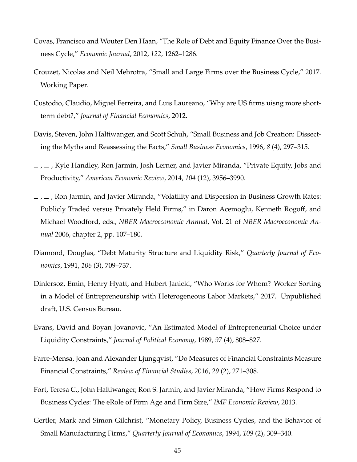- <span id="page-46-9"></span>Covas, Francisco and Wouter Den Haan, "The Role of Debt and Equity Finance Over the Business Cycle," *Economic Journal*, 2012, *122*, 1262–1286.
- <span id="page-46-5"></span>Crouzet, Nicolas and Neil Mehrotra, "Small and Large Firms over the Business Cycle," 2017. Working Paper.
- <span id="page-46-8"></span>Custodio, Claudio, Miguel Ferreira, and Luis Laureano, "Why are US firms uisng more shortterm debt?," *Journal of Financial Economics*, 2012.
- <span id="page-46-0"></span>Davis, Steven, John Haltiwanger, and Scott Schuh, "Small Business and Job Creation: Dissecting the Myths and Reassessing the Facts," *Small Business Economics*, 1996, *8* (4), 297–315.
- <span id="page-46-11"></span> $\mu$ ,  $\mu$ , Kyle Handley, Ron Jarmin, Josh Lerner, and Javier Miranda, "Private Equity, Jobs and Productivity," *American Economic Review*, 2014, *104* (12), 3956–3990.
- <span id="page-46-10"></span> $_$   $_$   $_$   $_$   $_$  Ron Jarmin, and Javier Miranda, "Volatility and Dispersion in Business Growth Rates: Publicly Traded versus Privately Held Firms," in Daron Acemoglu, Kenneth Rogoff, and Michael Woodford, eds., *NBER Macroeconomic Annual*, Vol. 21 of *NBER Macroeconomic Annual* 2006, chapter 2, pp. 107–180.
- <span id="page-46-7"></span>Diamond, Douglas, "Debt Maturity Structure and Liquidity Risk," *Quarterly Journal of Economics*, 1991, *106* (3), 709–737.
- <span id="page-46-2"></span>Dinlersoz, Emin, Henry Hyatt, and Hubert Janicki, "Who Works for Whom? Worker Sorting in a Model of Entrepreneurship with Heterogeneous Labor Markets," 2017. Unpublished draft, U.S. Census Bureau.
- <span id="page-46-1"></span>Evans, David and Boyan Jovanovic, "An Estimated Model of Entrepreneurial Choice under Liquidity Constraints," *Journal of Political Economy*, 1989, *97* (4), 808–827.
- <span id="page-46-4"></span>Farre-Mensa, Joan and Alexander Ljungqvist, "Do Measures of Financial Constraints Measure Financial Constraints," *Review of Financial Studies*, 2016, *29* (2), 271–308.
- <span id="page-46-6"></span>Fort, Teresa C., John Haltiwanger, Ron S. Jarmin, and Javier Miranda, "How Firms Respond to Business Cycles: The eRole of Firm Age and Firm Size," *IMF Economic Review*, 2013.
- <span id="page-46-3"></span>Gertler, Mark and Simon Gilchrist, "Monetary Policy, Business Cycles, and the Behavior of Small Manufacturing Firms," *Quarterly Journal of Economics*, 1994, *109* (2), 309–340.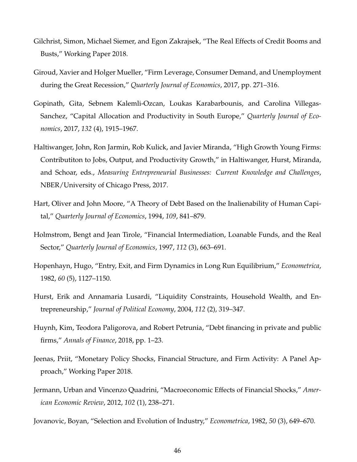- <span id="page-47-8"></span>Gilchrist, Simon, Michael Siemer, and Egon Zakrajsek, "The Real Effects of Credit Booms and Busts," Working Paper 2018.
- <span id="page-47-6"></span>Giroud, Xavier and Holger Mueller, "Firm Leverage, Consumer Demand, and Unemployment during the Great Recession," *Quarterly Journal of Economics*, 2017, pp. 271–316.
- <span id="page-47-5"></span>Gopinath, Gita, Sebnem Kalemli-Ozcan, Loukas Karabarbounis, and Carolina Villegas-Sanchez, "Capital Allocation and Productivity in South Europe," *Quarterly Journal of Economics*, 2017, *132* (4), 1915–1967.
- <span id="page-47-11"></span>Haltiwanger, John, Ron Jarmin, Rob Kulick, and Javier Miranda, "High Growth Young Firms: Contributiton to Jobs, Output, and Productivity Growth," in Haltiwanger, Hurst, Miranda, and Schoar, eds., *Measuring Entrepreneurial Businesses: Current Knowledge and Challenges*, NBER/University of Chicago Press, 2017.
- <span id="page-47-3"></span>Hart, Oliver and John Moore, "A Theory of Debt Based on the Inalienability of Human Capital," *Quarterly Journal of Economics*, 1994, *109*, 841–879.
- <span id="page-47-2"></span>Holmstrom, Bengt and Jean Tirole, "Financial Intermediation, Loanable Funds, and the Real Sector," *Quarterly Journal of Economics*, 1997, *112* (3), 663–691.
- <span id="page-47-1"></span>Hopenhayn, Hugo, "Entry, Exit, and Firm Dynamics in Long Run Equilibrium," *Econometrica*, 1982, *60* (5), 1127–1150.
- <span id="page-47-10"></span>Hurst, Erik and Annamaria Lusardi, "Liquidity Constraints, Household Wealth, and Entrepreneurship," *Journal of Political Economy*, 2004, *112* (2), 319–347.
- <span id="page-47-9"></span>Huynh, Kim, Teodora Paligorova, and Robert Petrunia, "Debt financing in private and public firms," *Annals of Finance*, 2018, pp. 1–23.
- <span id="page-47-7"></span>Jeenas, Priit, "Monetary Policy Shocks, Financial Structure, and Firm Activity: A Panel Approach," Working Paper 2018.
- <span id="page-47-4"></span>Jermann, Urban and Vincenzo Quadrini, "Macroeconomic Effects of Financial Shocks," *American Economic Review*, 2012, *102* (1), 238–271.

<span id="page-47-0"></span>Jovanovic, Boyan, "Selection and Evolution of Industry," *Econometrica*, 1982, *50* (3), 649–670.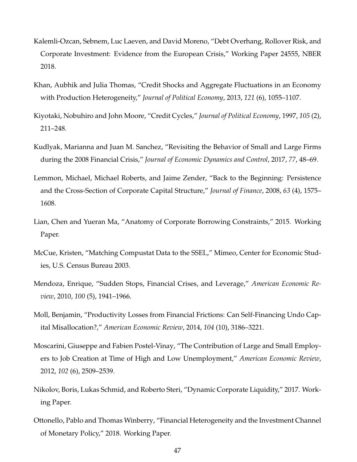- <span id="page-48-8"></span>Kalemli-Ozcan, Sebnem, Luc Laeven, and David Moreno, "Debt Overhang, Rollover Risk, and Corporate Investment: Evidence from the European Crisis," Working Paper 24555, NBER 2018.
- <span id="page-48-4"></span>Khan, Aubhik and Julia Thomas, "Credit Shocks and Aggregate Fluctuations in an Economy with Production Heterogeneity," *Journal of Political Economy*, 2013, *121* (6), 1055–1107.
- <span id="page-48-0"></span>Kiyotaki, Nobuhiro and John Moore, "Credit Cycles," *Journal of Political Economy*, 1997, *105* (2), 211–248.
- <span id="page-48-5"></span>Kudlyak, Marianna and Juan M. Sanchez, "Revisiting the Behavior of Small and Large Firms during the 2008 Financial Crisis," *Journal of Economic Dynamics and Control*, 2017, *77*, 48–69.
- <span id="page-48-9"></span>Lemmon, Michael, Michael Roberts, and Jaime Zender, "Back to the Beginning: Persistence and the Cross-Section of Corporate Capital Structure," *Journal of Finance*, 2008, *63* (4), 1575– 1608.
- <span id="page-48-3"></span>Lian, Chen and Yueran Ma, "Anatomy of Corporate Borrowing Constraints," 2015. Working Paper.
- <span id="page-48-11"></span>McCue, Kristen, "Matching Compustat Data to the SSEL," Mimeo, Center for Economic Studies, U.S. Census Bureau 2003.
- <span id="page-48-1"></span>Mendoza, Enrique, "Sudden Stops, Financial Crises, and Leverage," *American Economic Review*, 2010, *100* (5), 1941–1966.
- <span id="page-48-2"></span>Moll, Benjamin, "Productivity Losses from Financial Frictions: Can Self-Financing Undo Capital Misallocation?," *American Economic Review*, 2014, *104* (10), 3186–3221.
- <span id="page-48-6"></span>Moscarini, Giuseppe and Fabien Postel-Vinay, "The Contribution of Large and Small Employers to Job Creation at Time of High and Low Unemployment," *American Economic Review*, 2012, *102* (6), 2509–2539.
- <span id="page-48-10"></span>Nikolov, Boris, Lukas Schmid, and Roberto Steri, "Dynamic Corporate Liquidity," 2017. Working Paper.
- <span id="page-48-7"></span>Ottonello, Pablo and Thomas Winberry, "Financial Heterogeneity and the Investment Channel of Monetary Policy," 2018. Working Paper.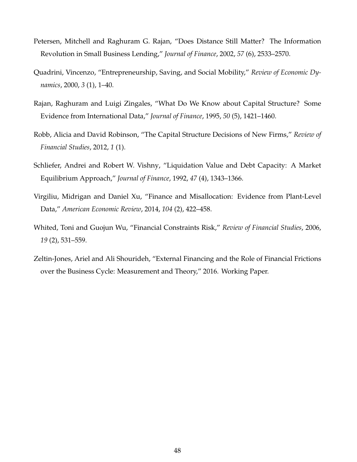- <span id="page-49-6"></span>Petersen, Mitchell and Raghuram G. Rajan, "Does Distance Still Matter? The Information Revolution in Small Business Lending," *Journal of Finance*, 2002, *57* (6), 2533–2570.
- <span id="page-49-3"></span>Quadrini, Vincenzo, "Entrepreneurship, Saving, and Social Mobility," *Review of Economic Dynamics*, 2000, *3* (1), 1–40.
- <span id="page-49-4"></span>Rajan, Raghuram and Luigi Zingales, "What Do We Know about Capital Structure? Some Evidence from International Data," *Journal of Finance*, 1995, *50* (5), 1421–1460.
- <span id="page-49-7"></span>Robb, Alicia and David Robinson, "The Capital Structure Decisions of New Firms," *Review of Financial Studies*, 2012, *1* (1).
- <span id="page-49-1"></span>Schliefer, Andrei and Robert W. Vishny, "Liquidation Value and Debt Capacity: A Market Equilibrium Approach," *Journal of Finance*, 1992, *47* (4), 1343–1366.
- <span id="page-49-2"></span>Virgiliu, Midrigan and Daniel Xu, "Finance and Misallocation: Evidence from Plant-Level Data," *American Economic Review*, 2014, *104* (2), 422–458.
- <span id="page-49-5"></span>Whited, Toni and Guojun Wu, "Financial Constraints Risk," *Review of Financial Studies*, 2006, *19* (2), 531–559.
- <span id="page-49-0"></span>Zeltin-Jones, Ariel and Ali Shourideh, "External Financing and the Role of Financial Frictions over the Business Cycle: Measurement and Theory," 2016. Working Paper.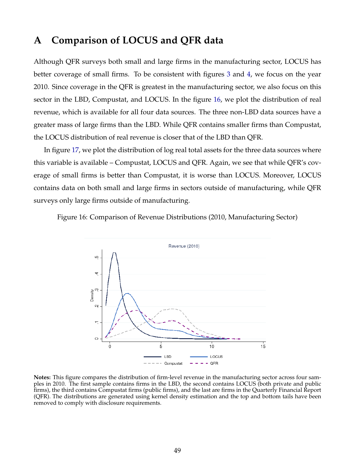# <span id="page-50-0"></span>**A Comparison of LOCUS and QFR data**

Although QFR surveys both small and large firms in the manufacturing sector, LOCUS has better coverage of small firms. To be consistent with figures [3](#page-20-0) and [4,](#page-20-1) we focus on the year 2010. Since coverage in the QFR is greatest in the manufacturing sector, we also focus on this sector in the LBD, Compustat, and LOCUS. In the figure [16,](#page-50-1) we plot the distribution of real revenue, which is available for all four data sources. The three non-LBD data sources have a greater mass of large firms than the LBD. While QFR contains smaller firms than Compustat, the LOCUS distribution of real revenue is closer that of the LBD than QFR.

In figure [17,](#page-51-1) we plot the distribution of log real total assets for the three data sources where this variable is available – Compustat, LOCUS and QFR. Again, we see that while QFR's coverage of small firms is better than Compustat, it is worse than LOCUS. Moreover, LOCUS contains data on both small and large firms in sectors outside of manufacturing, while QFR surveys only large firms outside of manufacturing.

<span id="page-50-1"></span>Figure 16: Comparison of Revenue Distributions (2010, Manufacturing Sector)



**Notes:** This figure compares the distribution of firm-level revenue in the manufacturing sector across four samples in 2010. The first sample contains firms in the LBD, the second contains LOCUS (both private and public firms), the third contains Compustat firms (public firms), and the last are firms in the Quarterly Financial Report (QFR). The distributions are generated using kernel density estimation and the top and bottom tails have been removed to comply with disclosure requirements.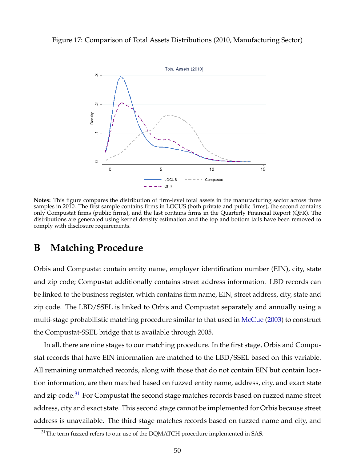<span id="page-51-1"></span>Figure 17: Comparison of Total Assets Distributions (2010, Manufacturing Sector)



**Notes:** This figure compares the distribution of firm-level total assets in the manufacturing sector across three samples in 2010. The first sample contains firms in LOCUS (both private and public firms), the second contains only Compustat firms (public firms), and the last contains firms in the Quarterly Financial Report (QFR). The distributions are generated using kernel density estimation and the top and bottom tails have been removed to comply with disclosure requirements.

# <span id="page-51-0"></span>**B Matching Procedure**

Orbis and Compustat contain entity name, employer identification number (EIN), city, state and zip code; Compustat additionally contains street address information. LBD records can be linked to the business register, which contains firm name, EIN, street address, city, state and zip code. The LBD/SSEL is linked to Orbis and Compustat separately and annually using a multi-stage probabilistic matching procedure similar to that used in [McCue](#page-48-11) [\(2003\)](#page-48-11) to construct the Compustat-SSEL bridge that is available through 2005.

In all, there are nine stages to our matching procedure. In the first stage, Orbis and Compustat records that have EIN information are matched to the LBD/SSEL based on this variable. All remaining unmatched records, along with those that do not contain EIN but contain location information, are then matched based on fuzzed entity name, address, city, and exact state and zip code.<sup>[31](#page-51-2)</sup> For Compustat the second stage matches records based on fuzzed name street address, city and exact state. This second stage cannot be implemented for Orbis because street address is unavailable. The third stage matches records based on fuzzed name and city, and

<span id="page-51-2"></span> $31$ The term fuzzed refers to our use of the DQMATCH procedure implemented in SAS.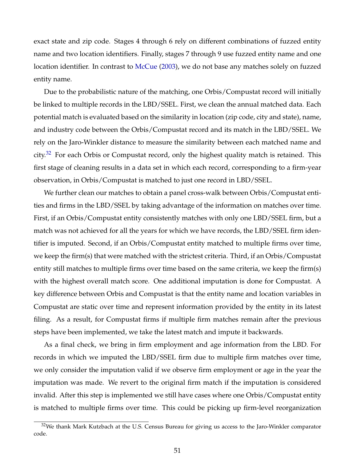exact state and zip code. Stages 4 through 6 rely on different combinations of fuzzed entity name and two location identifiers. Finally, stages 7 through 9 use fuzzed entity name and one location identifier. In contrast to [McCue](#page-48-11) [\(2003\)](#page-48-11), we do not base any matches solely on fuzzed entity name.

Due to the probabilistic nature of the matching, one Orbis/Compustat record will initially be linked to multiple records in the LBD/SSEL. First, we clean the annual matched data. Each potential match is evaluated based on the similarity in location (zip code, city and state), name, and industry code between the Orbis/Compustat record and its match in the LBD/SSEL. We rely on the Jaro-Winkler distance to measure the similarity between each matched name and city.<sup>[32](#page-52-0)</sup> For each Orbis or Compustat record, only the highest quality match is retained. This first stage of cleaning results in a data set in which each record, corresponding to a firm-year observation, in Orbis/Compustat is matched to just one record in LBD/SSEL.

We further clean our matches to obtain a panel cross-walk between Orbis/Compustat entities and firms in the LBD/SSEL by taking advantage of the information on matches over time. First, if an Orbis/Compustat entity consistently matches with only one LBD/SSEL firm, but a match was not achieved for all the years for which we have records, the LBD/SSEL firm identifier is imputed. Second, if an Orbis/Compustat entity matched to multiple firms over time, we keep the firm(s) that were matched with the strictest criteria. Third, if an Orbis/Compustat entity still matches to multiple firms over time based on the same criteria, we keep the firm(s) with the highest overall match score. One additional imputation is done for Compustat. A key difference between Orbis and Compustat is that the entity name and location variables in Compustat are static over time and represent information provided by the entity in its latest filing. As a result, for Compustat firms if multiple firm matches remain after the previous steps have been implemented, we take the latest match and impute it backwards.

As a final check, we bring in firm employment and age information from the LBD. For records in which we imputed the LBD/SSEL firm due to multiple firm matches over time, we only consider the imputation valid if we observe firm employment or age in the year the imputation was made. We revert to the original firm match if the imputation is considered invalid. After this step is implemented we still have cases where one Orbis/Compustat entity is matched to multiple firms over time. This could be picking up firm-level reorganization

<span id="page-52-0"></span><sup>&</sup>lt;sup>32</sup>We thank Mark Kutzbach at the U.S. Census Bureau for giving us access to the Jaro-Winkler comparator code.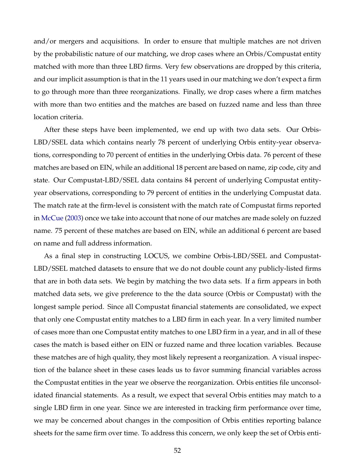and/or mergers and acquisitions. In order to ensure that multiple matches are not driven by the probabilistic nature of our matching, we drop cases where an Orbis/Compustat entity matched with more than three LBD firms. Very few observations are dropped by this criteria, and our implicit assumption is that in the 11 years used in our matching we don't expect a firm to go through more than three reorganizations. Finally, we drop cases where a firm matches with more than two entities and the matches are based on fuzzed name and less than three location criteria.

After these steps have been implemented, we end up with two data sets. Our Orbis-LBD/SSEL data which contains nearly 78 percent of underlying Orbis entity-year observations, corresponding to 70 percent of entities in the underlying Orbis data. 76 percent of these matches are based on EIN, while an additional 18 percent are based on name, zip code, city and state. Our Compustat-LBD/SSEL data contains 84 percent of underlying Compustat entityyear observations, corresponding to 79 percent of entities in the underlying Compustat data. The match rate at the firm-level is consistent with the match rate of Compustat firms reported in [McCue](#page-48-11) [\(2003\)](#page-48-11) once we take into account that none of our matches are made solely on fuzzed name. 75 percent of these matches are based on EIN, while an additional 6 percent are based on name and full address information.

As a final step in constructing LOCUS, we combine Orbis-LBD/SSEL and Compustat-LBD/SSEL matched datasets to ensure that we do not double count any publicly-listed firms that are in both data sets. We begin by matching the two data sets. If a firm appears in both matched data sets, we give preference to the the data source (Orbis or Compustat) with the longest sample period. Since all Compustat financial statements are consolidated, we expect that only one Compustat entity matches to a LBD firm in each year. In a very limited number of cases more than one Compustat entity matches to one LBD firm in a year, and in all of these cases the match is based either on EIN or fuzzed name and three location variables. Because these matches are of high quality, they most likely represent a reorganization. A visual inspection of the balance sheet in these cases leads us to favor summing financial variables across the Compustat entities in the year we observe the reorganization. Orbis entities file unconsolidated financial statements. As a result, we expect that several Orbis entities may match to a single LBD firm in one year. Since we are interested in tracking firm performance over time, we may be concerned about changes in the composition of Orbis entities reporting balance sheets for the same firm over time. To address this concern, we only keep the set of Orbis enti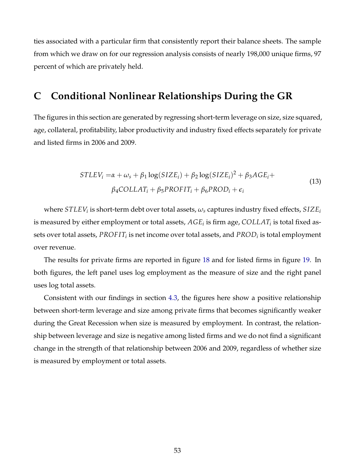ties associated with a particular firm that consistently report their balance sheets. The sample from which we draw on for our regression analysis consists of nearly 198,000 unique firms, 97 percent of which are privately held.

## <span id="page-54-0"></span>**C Conditional Nonlinear Relationships During the GR**

The figures in this section are generated by regressing short-term leverage on size, size squared, age, collateral, profitability, labor productivity and industry fixed effects separately for private and listed firms in 2006 and 2009.

$$
STLEV_i = \alpha + \omega_s + \beta_1 \log(SIZE_i) + \beta_2 \log(SIZE_i)^2 + \beta_3 AGE_i +
$$
  
\n
$$
\beta_4 COLLAT_i + \beta_5 PROFIT_i + \beta_6 PROD_i + \epsilon_i
$$
\n(13)

where  $STLEY_i$  is short-term debt over total assets*,*  $\omega_s$  captures industry fixed effects*, SIZE<sub>i</sub>* is measured by either employment or total assets*,*  $AGE_i$  is firm age*, <code>COLLAT</code>* $_i$  *is total fixed as*sets over total assets*, <code>PROFIT</code>* $_{i}$  *is net income over total assets, and*  $\mathit{PROD}_{i}$  *is total employment* over revenue.

The results for private firms are reported in figure [18](#page-55-0) and for listed firms in figure [19.](#page-55-1) In both figures, the left panel uses log employment as the measure of size and the right panel uses log total assets.

Consistent with our findings in section [4.3,](#page-36-1) the figures here show a positive relationship between short-term leverage and size among private firms that becomes significantly weaker during the Great Recession when size is measured by employment. In contrast, the relationship between leverage and size is negative among listed firms and we do not find a significant change in the strength of that relationship between 2006 and 2009, regardless of whether size is measured by employment or total assets.